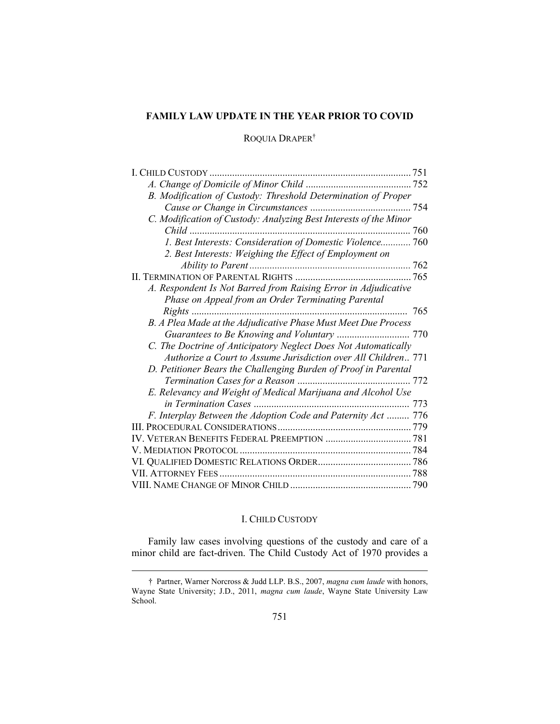# FAMILY LAW UPDATE IN THE YEAR PRIOR TO COVID

## ROQUIA DRAPER†

| I. Child Custody                                                  |
|-------------------------------------------------------------------|
|                                                                   |
| B. Modification of Custody: Threshold Determination of Proper     |
|                                                                   |
| C. Modification of Custody: Analyzing Best Interests of the Minor |
| $Child$                                                           |
| 1. Best Interests: Consideration of Domestic Violence 760         |
| 2. Best Interests: Weighing the Effect of Employment on           |
|                                                                   |
|                                                                   |
| A. Respondent Is Not Barred from Raising Error in Adjudicative    |
| Phase on Appeal from an Order Terminating Parental                |
| $Right$ s                                                         |
| B. A Plea Made at the Adjudicative Phase Must Meet Due Process    |
|                                                                   |
| C. The Doctrine of Anticipatory Neglect Does Not Automatically    |
| Authorize a Court to Assume Jurisdiction over All Children 771    |
| D. Petitioner Bears the Challenging Burden of Proof in Parental   |
|                                                                   |
| E. Relevancy and Weight of Medical Marijuana and Alcohol Use      |
|                                                                   |
| F. Interplay Between the Adoption Code and Paternity Act  776     |
|                                                                   |
|                                                                   |
|                                                                   |
|                                                                   |
|                                                                   |
|                                                                   |

### I. CHILD CUSTODY

Family law cases involving questions of the custody and care of a minor child are fact-driven. The Child Custody Act of 1970 provides a

<sup>†</sup> Partner, Warner Norcross & Judd LLP. B.S., 2007, magna cum laude with honors, Wayne State University; J.D., 2011, magna cum laude, Wayne State University Law School.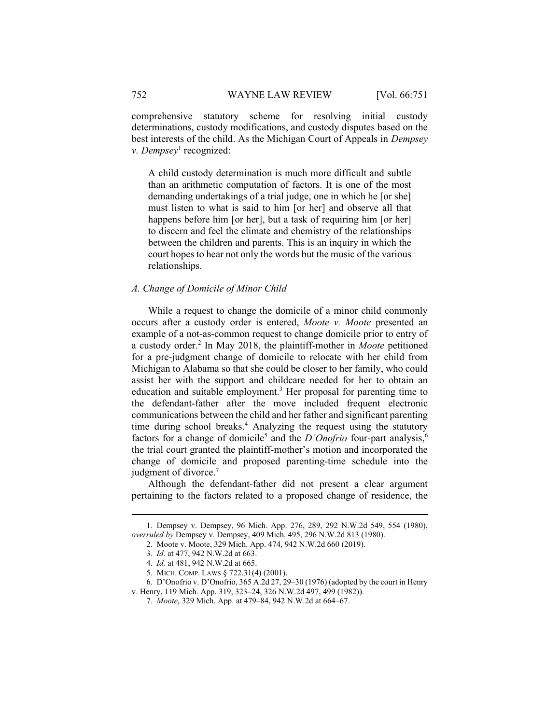comprehensive statutory scheme for resolving initial custody determinations, custody modifications, and custody disputes based on the best interests of the child. As the Michigan Court of Appeals in Dempsey v. Dempsey<sup>1</sup> recognized:

A child custody determination is much more difficult and subtle than an arithmetic computation of factors. It is one of the most demanding undertakings of a trial judge, one in which he [or she] must listen to what is said to him [or her] and observe all that happens before him [or her], but a task of requiring him [or her] to discern and feel the climate and chemistry of the relationships between the children and parents. This is an inquiry in which the court hopes to hear not only the words but the music of the various relationships.

### A. Change of Domicile of Minor Child

While a request to change the domicile of a minor child commonly occurs after a custody order is entered, Moote v. Moote presented an example of a not-as-common request to change domicile prior to entry of a custody order.<sup>2</sup> In May 2018, the plaintiff-mother in Moote petitioned for a pre-judgment change of domicile to relocate with her child from Michigan to Alabama so that she could be closer to her family, who could assist her with the support and childcare needed for her to obtain an education and suitable employment.<sup>3</sup> Her proposal for parenting time to the defendant-father after the move included frequent electronic communications between the child and her father and significant parenting time during school breaks.<sup>4</sup> Analyzing the request using the statutory factors for a change of domicile<sup>5</sup> and the *D'Onofrio* four-part analysis,<sup>6</sup> the trial court granted the plaintiff-mother's motion and incorporated the change of domicile and proposed parenting-time schedule into the judgment of divorce.<sup>7</sup>

Although the defendant-father did not present a clear argument pertaining to the factors related to a proposed change of residence, the

 <sup>1.</sup> Dempsey v. Dempsey, 96 Mich. App. 276, 289, 292 N.W.2d 549, 554 (1980), overruled by Dempsey v. Dempsey, 409 Mich. 495, 296 N.W.2d 813 (1980).

 <sup>2.</sup> Moote v. Moote, 329 Mich. App. 474, 942 N.W.2d 660 (2019).

<sup>3</sup>. Id. at 477, 942 N.W.2d at 663.

<sup>4</sup>. Id. at 481, 942 N.W.2d at 665.

 <sup>5.</sup> MICH. COMP. LAWS § 722.31(4) (2001).

 <sup>6.</sup> D'Onofrio v. D'Onofrio, 365 A.2d 27, 29–30 (1976) (adopted by the court in Henry v. Henry, 119 Mich. App. 319, 323–24, 326 N.W.2d 497, 499 (1982)).

<sup>7</sup>. Moote, 329 Mich. App. at 479–84, 942 N.W.2d at 664–67.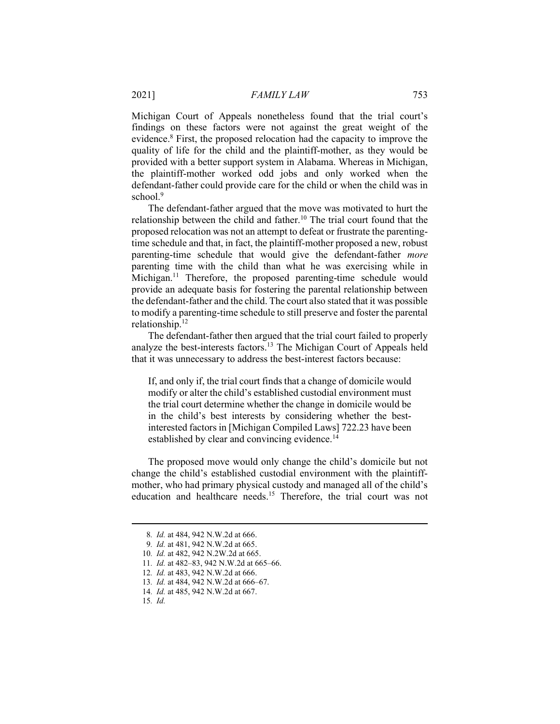Michigan Court of Appeals nonetheless found that the trial court's findings on these factors were not against the great weight of the evidence.<sup>8</sup> First, the proposed relocation had the capacity to improve the quality of life for the child and the plaintiff-mother, as they would be provided with a better support system in Alabama. Whereas in Michigan, the plaintiff-mother worked odd jobs and only worked when the defendant-father could provide care for the child or when the child was in school.<sup>9</sup>

The defendant-father argued that the move was motivated to hurt the relationship between the child and father.<sup>10</sup> The trial court found that the proposed relocation was not an attempt to defeat or frustrate the parentingtime schedule and that, in fact, the plaintiff-mother proposed a new, robust parenting-time schedule that would give the defendant-father more parenting time with the child than what he was exercising while in Michigan.<sup>11</sup> Therefore, the proposed parenting-time schedule would provide an adequate basis for fostering the parental relationship between the defendant-father and the child. The court also stated that it was possible to modify a parenting-time schedule to still preserve and foster the parental relationship.<sup>12</sup>

The defendant-father then argued that the trial court failed to properly analyze the best-interests factors.<sup>13</sup> The Michigan Court of Appeals held that it was unnecessary to address the best-interest factors because:

If, and only if, the trial court finds that a change of domicile would modify or alter the child's established custodial environment must the trial court determine whether the change in domicile would be in the child's best interests by considering whether the bestinterested factors in [Michigan Compiled Laws] 722.23 have been established by clear and convincing evidence.<sup>14</sup>

The proposed move would only change the child's domicile but not change the child's established custodial environment with the plaintiffmother, who had primary physical custody and managed all of the child's education and healthcare needs.<sup>15</sup> Therefore, the trial court was not

<sup>8</sup>. Id. at 484, 942 N.W.2d at 666.

<sup>9</sup>. Id. at 481, 942 N.W.2d at 665.

<sup>10</sup>. Id. at 482, 942 N.2W.2d at 665.

<sup>11</sup>. Id. at 482–83, 942 N.W.2d at 665–66.

<sup>12</sup>. Id. at 483, 942 N.W.2d at 666.

<sup>13</sup>. Id. at 484, 942 N.W.2d at 666–67.

<sup>14</sup>. Id. at 485, 942 N.W.2d at 667.

<sup>15</sup>. Id.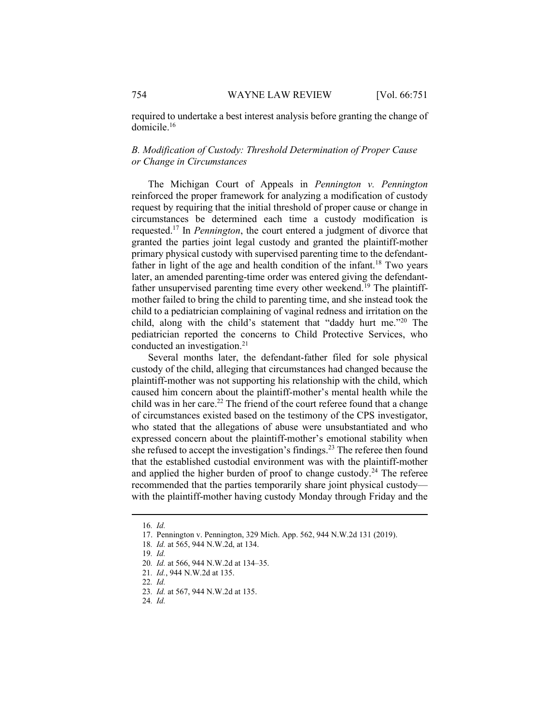required to undertake a best interest analysis before granting the change of domicile.<sup>16</sup>

# B. Modification of Custody: Threshold Determination of Proper Cause or Change in Circumstances

The Michigan Court of Appeals in Pennington v. Pennington reinforced the proper framework for analyzing a modification of custody request by requiring that the initial threshold of proper cause or change in circumstances be determined each time a custody modification is requested.<sup>17</sup> In Pennington, the court entered a judgment of divorce that granted the parties joint legal custody and granted the plaintiff-mother primary physical custody with supervised parenting time to the defendantfather in light of the age and health condition of the infant.<sup>18</sup> Two years later, an amended parenting-time order was entered giving the defendantfather unsupervised parenting time every other weekend.<sup>19</sup> The plaintiffmother failed to bring the child to parenting time, and she instead took the child to a pediatrician complaining of vaginal redness and irritation on the child, along with the child's statement that "daddy hurt me."<sup>20</sup> The pediatrician reported the concerns to Child Protective Services, who conducted an investigation.<sup>21</sup>

Several months later, the defendant-father filed for sole physical custody of the child, alleging that circumstances had changed because the plaintiff-mother was not supporting his relationship with the child, which caused him concern about the plaintiff-mother's mental health while the child was in her care.<sup>22</sup> The friend of the court referee found that a change of circumstances existed based on the testimony of the CPS investigator, who stated that the allegations of abuse were unsubstantiated and who expressed concern about the plaintiff-mother's emotional stability when she refused to accept the investigation's findings.<sup>23</sup> The referee then found that the established custodial environment was with the plaintiff-mother and applied the higher burden of proof to change custody.<sup>24</sup> The referee recommended that the parties temporarily share joint physical custody with the plaintiff-mother having custody Monday through Friday and the

<sup>16</sup>. Id.

 <sup>17.</sup> Pennington v. Pennington, 329 Mich. App. 562, 944 N.W.2d 131 (2019).

<sup>18</sup>. Id. at 565, 944 N.W.2d, at 134.

<sup>19</sup>. Id.

<sup>20</sup>. Id. at 566, 944 N.W.2d at 134–35.

<sup>21</sup>. Id., 944 N.W.2d at 135.

<sup>22</sup>. Id.

<sup>23</sup>. Id. at 567, 944 N.W.2d at 135.

<sup>24</sup>. Id.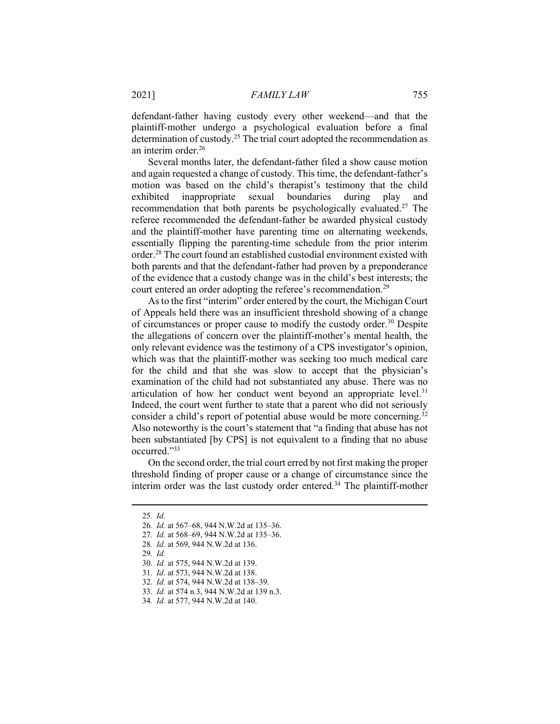defendant-father having custody every other weekend—and that the plaintiff-mother undergo a psychological evaluation before a final determination of custody.<sup>25</sup> The trial court adopted the recommendation as an interim order.<sup>26</sup>

Several months later, the defendant-father filed a show cause motion and again requested a change of custody. This time, the defendant-father's motion was based on the child's therapist's testimony that the child exhibited inappropriate sexual boundaries during play and recommendation that both parents be psychologically evaluated.<sup>27</sup> The referee recommended the defendant-father be awarded physical custody and the plaintiff-mother have parenting time on alternating weekends, essentially flipping the parenting-time schedule from the prior interim order.<sup>28</sup> The court found an established custodial environment existed with both parents and that the defendant-father had proven by a preponderance of the evidence that a custody change was in the child's best interests; the court entered an order adopting the referee's recommendation.<sup>29</sup>

As to the first "interim" order entered by the court, the Michigan Court of Appeals held there was an insufficient threshold showing of a change of circumstances or proper cause to modify the custody order.<sup>30</sup> Despite the allegations of concern over the plaintiff-mother's mental health, the only relevant evidence was the testimony of a CPS investigator's opinion, which was that the plaintiff-mother was seeking too much medical care for the child and that she was slow to accept that the physician's examination of the child had not substantiated any abuse. There was no articulation of how her conduct went beyond an appropriate level.<sup>31</sup> Indeed, the court went further to state that a parent who did not seriously consider a child's report of potential abuse would be more concerning.<sup>32</sup> Also noteworthy is the court's statement that "a finding that abuse has not been substantiated [by CPS] is not equivalent to a finding that no abuse occurred."<sup>33</sup>

On the second order, the trial court erred by not first making the proper threshold finding of proper cause or a change of circumstance since the interim order was the last custody order entered.<sup>34</sup> The plaintiff-mother

29. Id.

<sup>25</sup>. Id.

<sup>26</sup>. Id. at 567–68, 944 N.W.2d at 135–36.

<sup>27</sup>. Id. at 568–69, 944 N.W.2d at 135–36.

<sup>28</sup>. Id. at 569, 944 N.W.2d at 136.

<sup>30</sup>. Id. at 575, 944 N.W.2d at 139.

<sup>31</sup>. Id. at 573, 944 N.W.2d at 138.

<sup>32</sup>. Id. at 574, 944 N.W.2d at 138–39.

<sup>33</sup>. Id. at 574 n.3, 944 N.W.2d at 139 n.3.

<sup>34</sup>. Id. at 577, 944 N.W.2d at 140.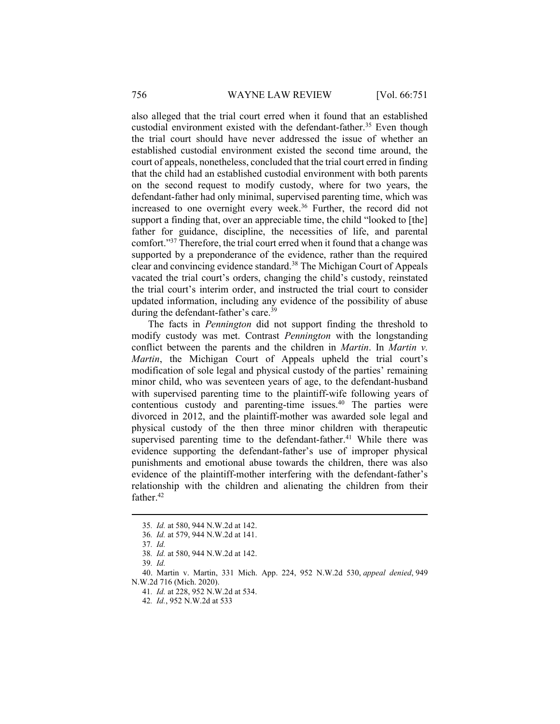also alleged that the trial court erred when it found that an established custodial environment existed with the defendant-father.<sup>35</sup> Even though the trial court should have never addressed the issue of whether an established custodial environment existed the second time around, the court of appeals, nonetheless, concluded that the trial court erred in finding that the child had an established custodial environment with both parents on the second request to modify custody, where for two years, the defendant-father had only minimal, supervised parenting time, which was increased to one overnight every week.<sup>36</sup> Further, the record did not support a finding that, over an appreciable time, the child "looked to [the] father for guidance, discipline, the necessities of life, and parental comfort."<sup>37</sup> Therefore, the trial court erred when it found that a change was supported by a preponderance of the evidence, rather than the required clear and convincing evidence standard.<sup>38</sup> The Michigan Court of Appeals vacated the trial court's orders, changing the child's custody, reinstated the trial court's interim order, and instructed the trial court to consider updated information, including any evidence of the possibility of abuse during the defendant-father's care.<sup>39</sup>

The facts in Pennington did not support finding the threshold to modify custody was met. Contrast Pennington with the longstanding conflict between the parents and the children in *Martin*. In *Martin v*. Martin, the Michigan Court of Appeals upheld the trial court's modification of sole legal and physical custody of the parties' remaining minor child, who was seventeen years of age, to the defendant-husband with supervised parenting time to the plaintiff-wife following years of contentious custody and parenting-time issues.<sup>40</sup> The parties were divorced in 2012, and the plaintiff-mother was awarded sole legal and physical custody of the then three minor children with therapeutic supervised parenting time to the defendant-father.<sup>41</sup> While there was evidence supporting the defendant-father's use of improper physical punishments and emotional abuse towards the children, there was also evidence of the plaintiff-mother interfering with the defendant-father's relationship with the children and alienating the children from their father.<sup>42</sup>

<sup>35</sup>. Id. at 580, 944 N.W.2d at 142.

<sup>36</sup>. Id. at 579, 944 N.W.2d at 141.

<sup>37</sup>. Id.

<sup>38</sup>. Id. at 580, 944 N.W.2d at 142.

<sup>39</sup>. Id.

 <sup>40.</sup> Martin v. Martin, 331 Mich. App. 224, 952 N.W.2d 530, appeal denied, 949 N.W.2d 716 (Mich. 2020).

<sup>41</sup>. Id. at 228, 952 N.W.2d at 534.

<sup>42</sup>. Id., 952 N.W.2d at 533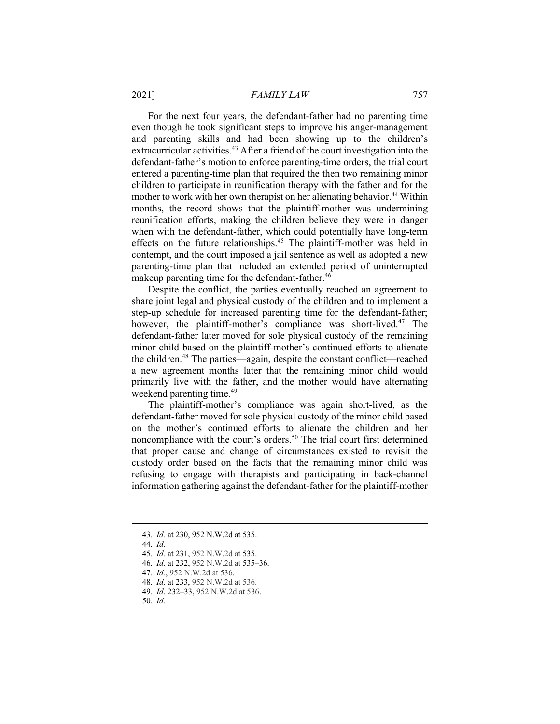#### 2021] FAMILY LAW 757

For the next four years, the defendant-father had no parenting time even though he took significant steps to improve his anger-management and parenting skills and had been showing up to the children's extracurricular activities.<sup>43</sup> After a friend of the court investigation into the defendant-father's motion to enforce parenting-time orders, the trial court entered a parenting-time plan that required the then two remaining minor children to participate in reunification therapy with the father and for the mother to work with her own therapist on her alienating behavior.<sup>44</sup> Within months, the record shows that the plaintiff-mother was undermining reunification efforts, making the children believe they were in danger when with the defendant-father, which could potentially have long-term effects on the future relationships.<sup>45</sup> The plaintiff-mother was held in contempt, and the court imposed a jail sentence as well as adopted a new parenting-time plan that included an extended period of uninterrupted makeup parenting time for the defendant-father.<sup>46</sup>

Despite the conflict, the parties eventually reached an agreement to share joint legal and physical custody of the children and to implement a step-up schedule for increased parenting time for the defendant-father; however, the plaintiff-mother's compliance was short-lived.<sup>47</sup> The defendant-father later moved for sole physical custody of the remaining minor child based on the plaintiff-mother's continued efforts to alienate the children.<sup>48</sup> The parties—again, despite the constant conflict—reached a new agreement months later that the remaining minor child would primarily live with the father, and the mother would have alternating weekend parenting time.<sup>49</sup>

The plaintiff-mother's compliance was again short-lived, as the defendant-father moved for sole physical custody of the minor child based on the mother's continued efforts to alienate the children and her noncompliance with the court's orders.<sup>50</sup> The trial court first determined that proper cause and change of circumstances existed to revisit the custody order based on the facts that the remaining minor child was refusing to engage with therapists and participating in back-channel information gathering against the defendant-father for the plaintiff-mother

44. Id.

<sup>43</sup>. Id. at 230, 952 N.W.2d at 535.

<sup>45</sup>. Id. at 231, 952 N.W.2d at 535.

<sup>46</sup>. Id. at 232, 952 N.W.2d at 535–36.

<sup>47</sup>. Id., 952 N.W.2d at 536.

<sup>48</sup>. Id. at 233, 952 N.W.2d at 536.

<sup>49</sup>. Id. 232–33, 952 N.W.2d at 536.

<sup>50</sup>. Id.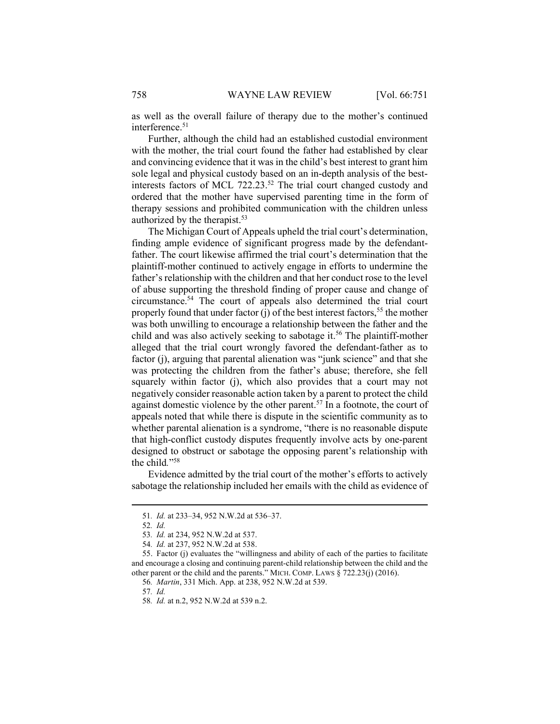as well as the overall failure of therapy due to the mother's continued interference.<sup>51</sup>

Further, although the child had an established custodial environment with the mother, the trial court found the father had established by clear and convincing evidence that it was in the child's best interest to grant him sole legal and physical custody based on an in-depth analysis of the bestinterests factors of MCL 722.23.<sup>52</sup> The trial court changed custody and ordered that the mother have supervised parenting time in the form of therapy sessions and prohibited communication with the children unless authorized by the therapist.<sup>53</sup>

The Michigan Court of Appeals upheld the trial court's determination, finding ample evidence of significant progress made by the defendantfather. The court likewise affirmed the trial court's determination that the plaintiff-mother continued to actively engage in efforts to undermine the father's relationship with the children and that her conduct rose to the level of abuse supporting the threshold finding of proper cause and change of circumstance.<sup>54</sup> The court of appeals also determined the trial court properly found that under factor  $(i)$  of the best interest factors,<sup>55</sup> the mother was both unwilling to encourage a relationship between the father and the child and was also actively seeking to sabotage it.<sup>56</sup> The plaintiff-mother alleged that the trial court wrongly favored the defendant-father as to factor (j), arguing that parental alienation was "junk science" and that she was protecting the children from the father's abuse; therefore, she fell squarely within factor (j), which also provides that a court may not negatively consider reasonable action taken by a parent to protect the child against domestic violence by the other parent.<sup>57</sup> In a footnote, the court of appeals noted that while there is dispute in the scientific community as to whether parental alienation is a syndrome, "there is no reasonable dispute that high-conflict custody disputes frequently involve acts by one-parent designed to obstruct or sabotage the opposing parent's relationship with the child." 58

Evidence admitted by the trial court of the mother's efforts to actively sabotage the relationship included her emails with the child as evidence of

56. Martin, 331 Mich. App. at 238, 952 N.W.2d at 539.

57. Id.

<sup>51</sup>. Id. at 233–34, 952 N.W.2d at 536–37.

<sup>52</sup>. Id.

<sup>53</sup>. Id. at 234, 952 N.W.2d at 537.

<sup>54</sup>. Id. at 237, 952 N.W.2d at 538.

 <sup>55.</sup> Factor (j) evaluates the "willingness and ability of each of the parties to facilitate and encourage a closing and continuing parent-child relationship between the child and the other parent or the child and the parents." MICH. COMP. LAWS § 722.23(j) (2016).

<sup>58</sup>. Id. at n.2, 952 N.W.2d at 539 n.2.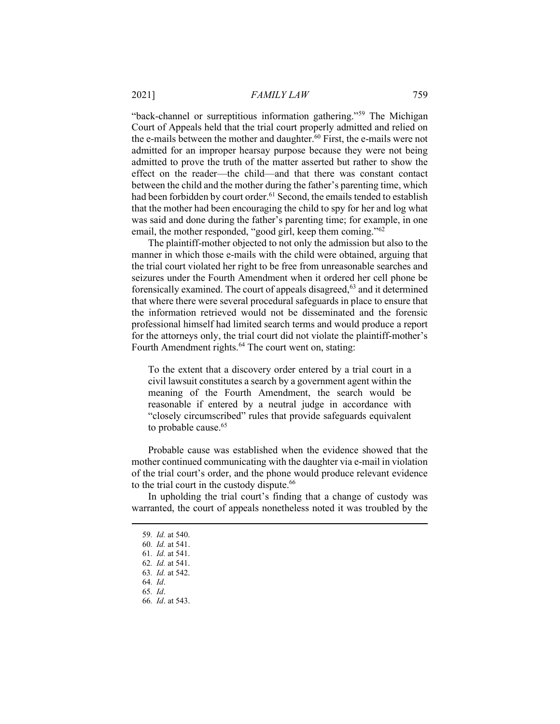"back-channel or surreptitious information gathering."<sup>59</sup> The Michigan Court of Appeals held that the trial court properly admitted and relied on the e-mails between the mother and daughter.<sup>60</sup> First, the e-mails were not admitted for an improper hearsay purpose because they were not being admitted to prove the truth of the matter asserted but rather to show the effect on the reader—the child—and that there was constant contact between the child and the mother during the father's parenting time, which had been forbidden by court order.<sup>61</sup> Second, the emails tended to establish that the mother had been encouraging the child to spy for her and log what was said and done during the father's parenting time; for example, in one email, the mother responded, "good girl, keep them coming."62

The plaintiff-mother objected to not only the admission but also to the manner in which those e-mails with the child were obtained, arguing that the trial court violated her right to be free from unreasonable searches and seizures under the Fourth Amendment when it ordered her cell phone be forensically examined. The court of appeals disagreed, $63$  and it determined that where there were several procedural safeguards in place to ensure that the information retrieved would not be disseminated and the forensic professional himself had limited search terms and would produce a report for the attorneys only, the trial court did not violate the plaintiff-mother's Fourth Amendment rights.<sup>64</sup> The court went on, stating:

To the extent that a discovery order entered by a trial court in a civil lawsuit constitutes a search by a government agent within the meaning of the Fourth Amendment, the search would be reasonable if entered by a neutral judge in accordance with "closely circumscribed" rules that provide safeguards equivalent to probable cause.<sup>65</sup>

Probable cause was established when the evidence showed that the mother continued communicating with the daughter via e-mail in violation of the trial court's order, and the phone would produce relevant evidence to the trial court in the custody dispute.<sup>66</sup>

In upholding the trial court's finding that a change of custody was warranted, the court of appeals nonetheless noted it was troubled by the

<sup>59</sup>. Id. at 540.

<sup>60</sup>. Id. at 541.

<sup>61</sup>. Id. at 541.

<sup>62</sup>. Id. at 541.

<sup>63</sup>. Id. at 542.

<sup>64</sup>. Id.

<sup>65</sup>. Id.

<sup>66</sup>. Id. at 543.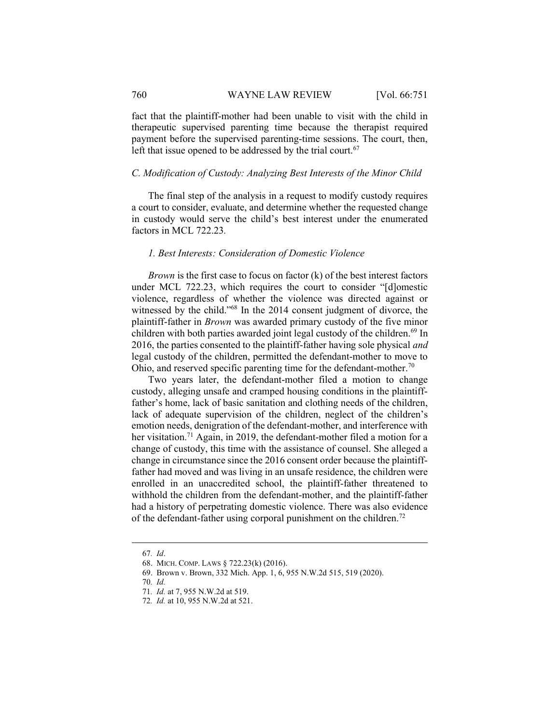fact that the plaintiff-mother had been unable to visit with the child in therapeutic supervised parenting time because the therapist required payment before the supervised parenting-time sessions. The court, then, left that issue opened to be addressed by the trial court.<sup>67</sup>

#### C. Modification of Custody: Analyzing Best Interests of the Minor Child

The final step of the analysis in a request to modify custody requires a court to consider, evaluate, and determine whether the requested change in custody would serve the child's best interest under the enumerated factors in MCL 722.23.

#### 1. Best Interests: Consideration of Domestic Violence

*Brown* is the first case to focus on factor  $(k)$  of the best interest factors under MCL 722.23, which requires the court to consider "[d]omestic violence, regardless of whether the violence was directed against or witnessed by the child."<sup>68</sup> In the 2014 consent judgment of divorce, the plaintiff-father in Brown was awarded primary custody of the five minor children with both parties awarded joint legal custody of the children.<sup>69</sup> In 2016, the parties consented to the plaintiff-father having sole physical and legal custody of the children, permitted the defendant-mother to move to Ohio, and reserved specific parenting time for the defendant-mother.<sup>70</sup>

Two years later, the defendant-mother filed a motion to change custody, alleging unsafe and cramped housing conditions in the plaintifffather's home, lack of basic sanitation and clothing needs of the children, lack of adequate supervision of the children, neglect of the children's emotion needs, denigration of the defendant-mother, and interference with her visitation.<sup>71</sup> Again, in 2019, the defendant-mother filed a motion for a change of custody, this time with the assistance of counsel. She alleged a change in circumstance since the 2016 consent order because the plaintifffather had moved and was living in an unsafe residence, the children were enrolled in an unaccredited school, the plaintiff-father threatened to withhold the children from the defendant-mother, and the plaintiff-father had a history of perpetrating domestic violence. There was also evidence of the defendant-father using corporal punishment on the children.<sup>72</sup>

<sup>67</sup>. Id.

 <sup>68.</sup> MICH. COMP. LAWS § 722.23(k) (2016).

 <sup>69.</sup> Brown v. Brown, 332 Mich. App. 1, 6, 955 N.W.2d 515, 519 (2020).

<sup>70</sup>. Id.

<sup>71</sup>. Id. at 7, 955 N.W.2d at 519.

<sup>72</sup>. Id. at 10, 955 N.W.2d at 521.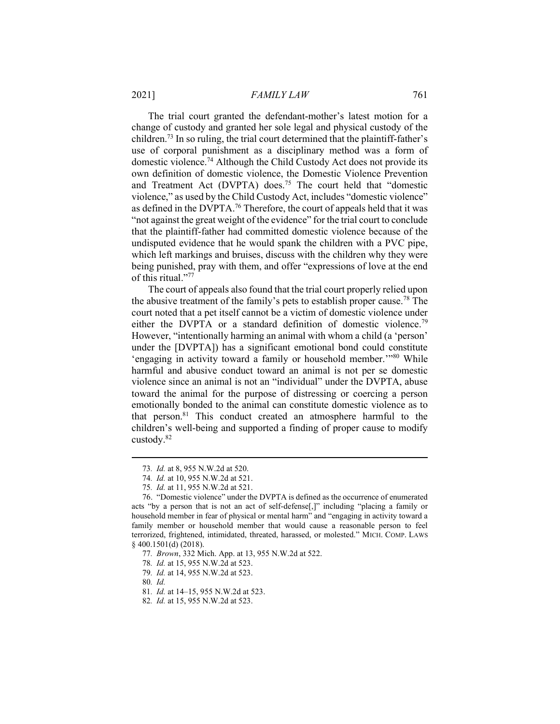2021] FAMILY LAW 761

The trial court granted the defendant-mother's latest motion for a change of custody and granted her sole legal and physical custody of the children.<sup>73</sup> In so ruling, the trial court determined that the plaintiff-father's use of corporal punishment as a disciplinary method was a form of domestic violence.<sup>74</sup> Although the Child Custody Act does not provide its own definition of domestic violence, the Domestic Violence Prevention and Treatment Act (DVPTA) does.<sup>75</sup> The court held that "domestic violence," as used by the Child Custody Act, includes "domestic violence" as defined in the DVPTA.<sup>76</sup> Therefore, the court of appeals held that it was "not against the great weight of the evidence" for the trial court to conclude that the plaintiff-father had committed domestic violence because of the undisputed evidence that he would spank the children with a PVC pipe, which left markings and bruises, discuss with the children why they were being punished, pray with them, and offer "expressions of love at the end of this ritual."<sup>77</sup>

The court of appeals also found that the trial court properly relied upon the abusive treatment of the family's pets to establish proper cause.<sup>78</sup> The court noted that a pet itself cannot be a victim of domestic violence under either the DVPTA or a standard definition of domestic violence.<sup>79</sup> However, "intentionally harming an animal with whom a child (a 'person' under the [DVPTA]) has a significant emotional bond could constitute 'engaging in activity toward a family or household member.'"<sup>80</sup> While harmful and abusive conduct toward an animal is not per se domestic violence since an animal is not an "individual" under the DVPTA, abuse toward the animal for the purpose of distressing or coercing a person emotionally bonded to the animal can constitute domestic violence as to that person.<sup>81</sup> This conduct created an atmosphere harmful to the children's well-being and supported a finding of proper cause to modify custody.<sup>82</sup>

<sup>73</sup>. Id. at 8, 955 N.W.2d at 520.

<sup>74</sup>. Id. at 10, 955 N.W.2d at 521.

<sup>75</sup>. Id. at 11, 955 N.W.2d at 521.

 <sup>76. &</sup>quot;Domestic violence" under the DVPTA is defined as the occurrence of enumerated acts "by a person that is not an act of self-defense[,]" including "placing a family or household member in fear of physical or mental harm" and "engaging in activity toward a family member or household member that would cause a reasonable person to feel terrorized, frightened, intimidated, threated, harassed, or molested." MICH. COMP. LAWS § 400.1501(d) (2018).

<sup>77</sup>. Brown, 332 Mich. App. at 13, 955 N.W.2d at 522.

<sup>78</sup>. Id. at 15, 955 N.W.2d at 523.

<sup>79</sup>. Id. at 14, 955 N.W.2d at 523.

<sup>80</sup>. Id.

<sup>81</sup>. Id. at 14–15, 955 N.W.2d at 523.

<sup>82</sup>. Id. at 15, 955 N.W.2d at 523.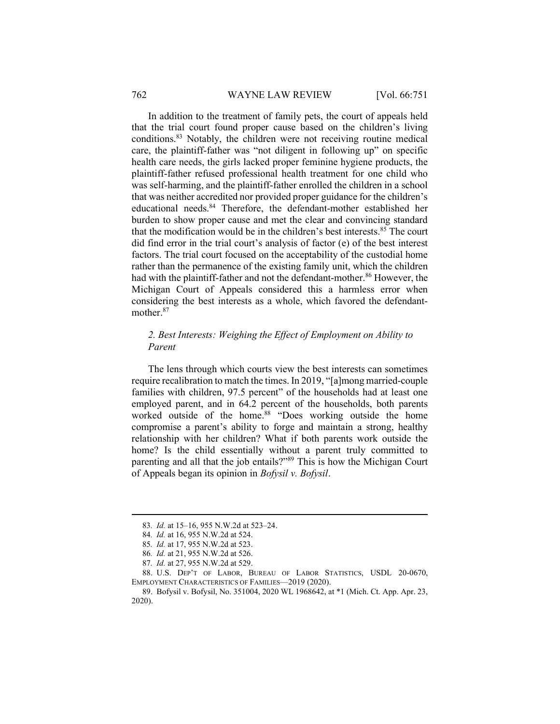#### 762 WAYNE LAW REVIEW [Vol. 66:751]

In addition to the treatment of family pets, the court of appeals held that the trial court found proper cause based on the children's living conditions.<sup>83</sup> Notably, the children were not receiving routine medical care, the plaintiff-father was "not diligent in following up" on specific health care needs, the girls lacked proper feminine hygiene products, the plaintiff-father refused professional health treatment for one child who was self-harming, and the plaintiff-father enrolled the children in a school that was neither accredited nor provided proper guidance for the children's educational needs.<sup>84</sup> Therefore, the defendant-mother established her burden to show proper cause and met the clear and convincing standard that the modification would be in the children's best interests.<sup>85</sup> The court did find error in the trial court's analysis of factor (e) of the best interest factors. The trial court focused on the acceptability of the custodial home rather than the permanence of the existing family unit, which the children had with the plaintiff-father and not the defendant-mother.<sup>86</sup> However, the Michigan Court of Appeals considered this a harmless error when considering the best interests as a whole, which favored the defendantmother.<sup>87</sup>

# 2. Best Interests: Weighing the Effect of Employment on Ability to Parent

The lens through which courts view the best interests can sometimes require recalibration to match the times. In 2019, "[a]mong married-couple families with children, 97.5 percent" of the households had at least one employed parent, and in 64.2 percent of the households, both parents worked outside of the home.<sup>88</sup> "Does working outside the home compromise a parent's ability to forge and maintain a strong, healthy relationship with her children? What if both parents work outside the home? Is the child essentially without a parent truly committed to parenting and all that the job entails?"<sup>89</sup> This is how the Michigan Court of Appeals began its opinion in Bofysil v. Bofysil.

<sup>83</sup>. Id. at 15–16, 955 N.W.2d at 523–24.

<sup>84</sup>. Id. at 16, 955 N.W.2d at 524.

<sup>85</sup>. Id. at 17, 955 N.W.2d at 523.

<sup>86</sup>. Id. at 21, 955 N.W.2d at 526.

<sup>87</sup>. Id. at 27, 955 N.W.2d at 529.

 <sup>88.</sup> U.S. DEP'T OF LABOR, BUREAU OF LABOR STATISTICS, USDL 20-0670, EMPLOYMENT CHARACTERISTICS OF FAMILIES—2019 (2020).

 <sup>89.</sup> Bofysil v. Bofysil, No. 351004, 2020 WL 1968642, at \*1 (Mich. Ct. App. Apr. 23, 2020).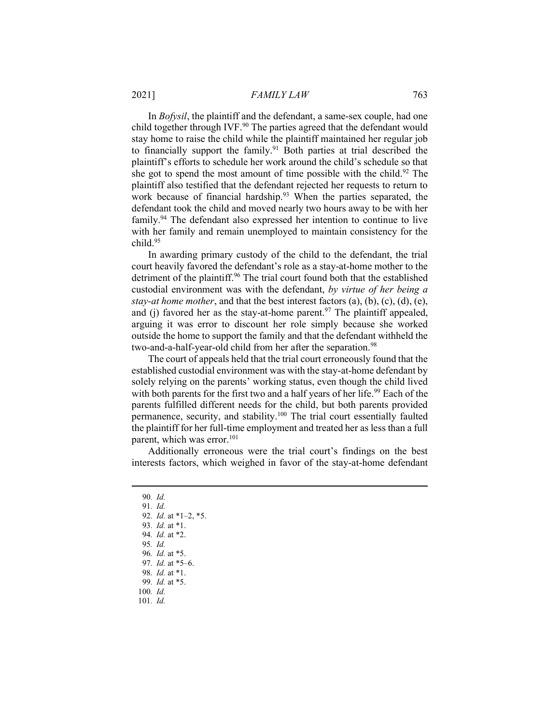In Bofysil, the plaintiff and the defendant, a same-sex couple, had one child together through IVF.<sup>90</sup> The parties agreed that the defendant would stay home to raise the child while the plaintiff maintained her regular job to financially support the family.<sup>91</sup> Both parties at trial described the plaintiff's efforts to schedule her work around the child's schedule so that she got to spend the most amount of time possible with the child. $92$  The plaintiff also testified that the defendant rejected her requests to return to work because of financial hardship.<sup>93</sup> When the parties separated, the defendant took the child and moved nearly two hours away to be with her family.<sup>94</sup> The defendant also expressed her intention to continue to live with her family and remain unemployed to maintain consistency for the child.<sup>95</sup>

In awarding primary custody of the child to the defendant, the trial court heavily favored the defendant's role as a stay-at-home mother to the detriment of the plaintiff.<sup>96</sup> The trial court found both that the established custodial environment was with the defendant, by virtue of her being a stay-at home mother, and that the best interest factors  $(a)$ ,  $(b)$ ,  $(c)$ ,  $(d)$ ,  $(e)$ , and (j) favored her as the stay-at-home parent.<sup>97</sup> The plaintiff appealed, arguing it was error to discount her role simply because she worked outside the home to support the family and that the defendant withheld the two-and-a-half-year-old child from her after the separation.<sup>98</sup>

The court of appeals held that the trial court erroneously found that the established custodial environment was with the stay-at-home defendant by solely relying on the parents' working status, even though the child lived with both parents for the first two and a half years of her life.<sup>99</sup> Each of the parents fulfilled different needs for the child, but both parents provided permanence, security, and stability.<sup>100</sup> The trial court essentially faulted the plaintiff for her full-time employment and treated her as less than a full parent, which was error.<sup>101</sup>

Additionally erroneous were the trial court's findings on the best interests factors, which weighed in favor of the stay-at-home defendant

- 90. Id.
- 91. Id.
- 92. Id. at \*1–2, \*5.
- 93. Id. at \*1.
- 94. Id. at \*2.
- 95. Id.
- 96. Id. at \*5.
- 97. Id. at \*5–6.
- 98. Id. at \*1.
- 99. Id. at \*5.
- 100. Id.
- 101. Id.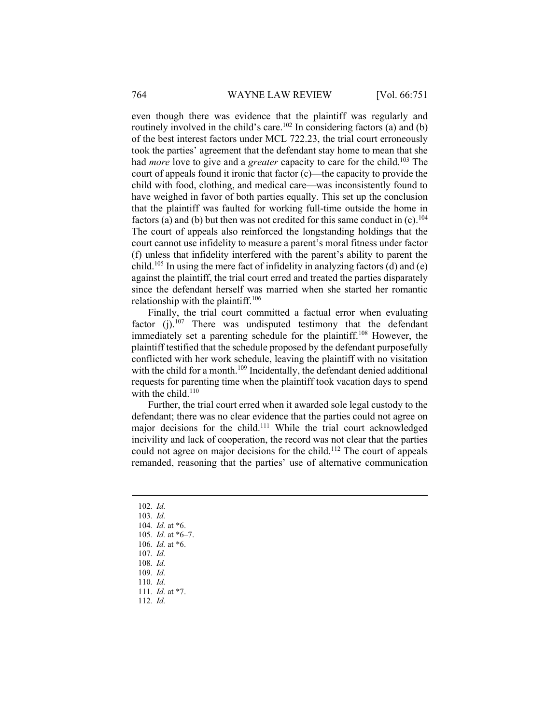even though there was evidence that the plaintiff was regularly and routinely involved in the child's care.<sup>102</sup> In considering factors (a) and (b) of the best interest factors under MCL 722.23, the trial court erroneously took the parties' agreement that the defendant stay home to mean that she had *more* love to give and a *greater* capacity to care for the child.<sup>103</sup> The court of appeals found it ironic that factor (c)—the capacity to provide the child with food, clothing, and medical care—was inconsistently found to have weighed in favor of both parties equally. This set up the conclusion that the plaintiff was faulted for working full-time outside the home in factors (a) and (b) but then was not credited for this same conduct in  $(c)$ .<sup>104</sup> The court of appeals also reinforced the longstanding holdings that the court cannot use infidelity to measure a parent's moral fitness under factor (f) unless that infidelity interfered with the parent's ability to parent the child.<sup>105</sup> In using the mere fact of infidelity in analyzing factors (d) and (e) against the plaintiff, the trial court erred and treated the parties disparately since the defendant herself was married when she started her romantic relationship with the plaintiff.<sup>106</sup>

Finally, the trial court committed a factual error when evaluating factor (j).<sup>107</sup> There was undisputed testimony that the defendant immediately set a parenting schedule for the plaintiff.<sup>108</sup> However, the plaintiff testified that the schedule proposed by the defendant purposefully conflicted with her work schedule, leaving the plaintiff with no visitation with the child for a month.<sup>109</sup> Incidentally, the defendant denied additional requests for parenting time when the plaintiff took vacation days to spend with the child.<sup>110</sup>

Further, the trial court erred when it awarded sole legal custody to the defendant; there was no clear evidence that the parties could not agree on major decisions for the child.<sup>111</sup> While the trial court acknowledged incivility and lack of cooperation, the record was not clear that the parties could not agree on major decisions for the child.<sup>112</sup> The court of appeals remanded, reasoning that the parties' use of alternative communication

102. Id. 103. Id. 104. Id. at \*6. 105. Id. at \*6–7. 106. Id. at \*6. 107. Id. 108. Id. 109. Id. 110. Id. 111. Id. at \*7. 112. Id.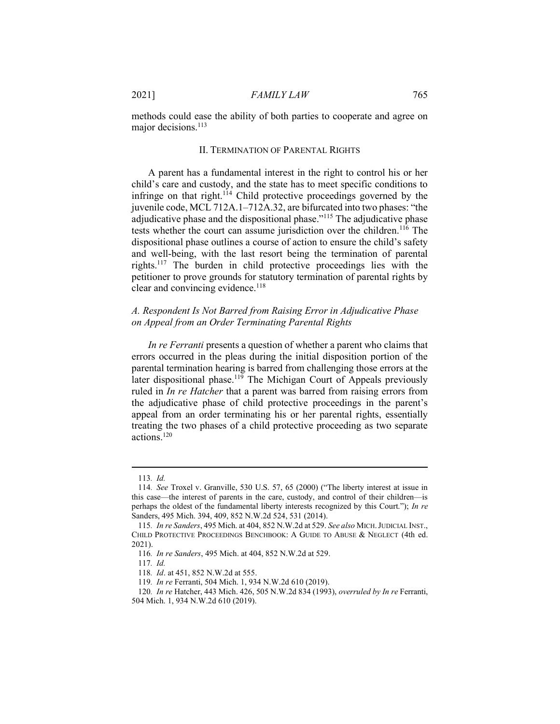methods could ease the ability of both parties to cooperate and agree on major decisions.<sup>113</sup>

## II. TERMINATION OF PARENTAL RIGHTS

A parent has a fundamental interest in the right to control his or her child's care and custody, and the state has to meet specific conditions to infringe on that right.<sup>114</sup> Child protective proceedings governed by the juvenile code, MCL 712A.1–712A.32, are bifurcated into two phases: "the adjudicative phase and the dispositional phase."<sup>115</sup> The adjudicative phase tests whether the court can assume jurisdiction over the children.<sup>116</sup> The dispositional phase outlines a course of action to ensure the child's safety and well-being, with the last resort being the termination of parental rights.<sup>117</sup> The burden in child protective proceedings lies with the petitioner to prove grounds for statutory termination of parental rights by clear and convincing evidence.<sup>118</sup>

## A. Respondent Is Not Barred from Raising Error in Adjudicative Phase on Appeal from an Order Terminating Parental Rights

In re Ferranti presents a question of whether a parent who claims that errors occurred in the pleas during the initial disposition portion of the parental termination hearing is barred from challenging those errors at the later dispositional phase.<sup>119</sup> The Michigan Court of Appeals previously ruled in In re Hatcher that a parent was barred from raising errors from the adjudicative phase of child protective proceedings in the parent's appeal from an order terminating his or her parental rights, essentially treating the two phases of a child protective proceeding as two separate actions.<sup>120</sup>

<sup>113</sup>. Id.

<sup>114</sup>. See Troxel v. Granville, 530 U.S. 57, 65 (2000) ("The liberty interest at issue in this case—the interest of parents in the care, custody, and control of their children—is perhaps the oldest of the fundamental liberty interests recognized by this Court."); In re Sanders, 495 Mich. 394, 409, 852 N.W.2d 524, 531 (2014).

<sup>115.</sup> In re Sanders, 495 Mich. at 404, 852 N.W.2d at 529. See also MICH. JUDICIAL INST., CHILD PROTECTIVE PROCEEDINGS BENCHBOOK: A GUIDE TO ABUSE & NEGLECT (4th ed. 2021).

<sup>116</sup>. In re Sanders, 495 Mich. at 404, 852 N.W.2d at 529.

<sup>117</sup>. Id.

<sup>118</sup>. Id. at 451, 852 N.W.2d at 555.

<sup>119</sup>. In re Ferranti, 504 Mich. 1, 934 N.W.2d 610 (2019).

<sup>120</sup>. In re Hatcher, 443 Mich. 426, 505 N.W.2d 834 (1993), overruled by In re Ferranti, 504 Mich. 1, 934 N.W.2d 610 (2019).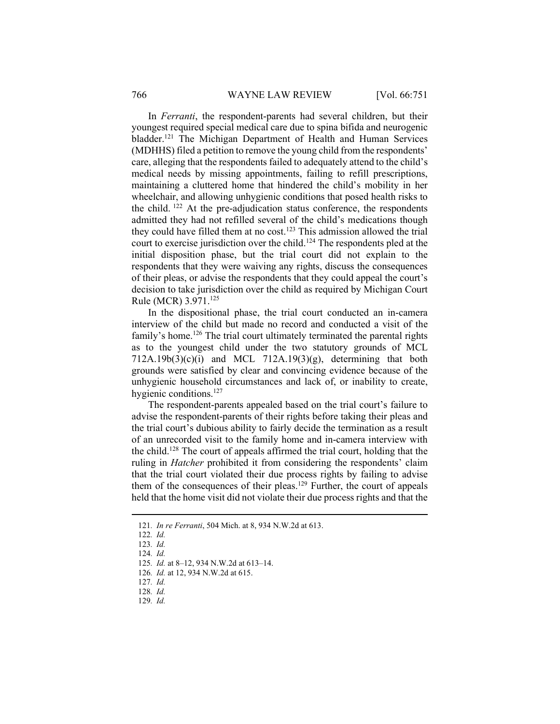In Ferranti, the respondent-parents had several children, but their youngest required special medical care due to spina bifida and neurogenic bladder.<sup>121</sup> The Michigan Department of Health and Human Services (MDHHS) filed a petition to remove the young child from the respondents' care, alleging that the respondents failed to adequately attend to the child's medical needs by missing appointments, failing to refill prescriptions, maintaining a cluttered home that hindered the child's mobility in her wheelchair, and allowing unhygienic conditions that posed health risks to the child.<sup>122</sup> At the pre-adjudication status conference, the respondents admitted they had not refilled several of the child's medications though they could have filled them at no cost.<sup>123</sup> This admission allowed the trial court to exercise jurisdiction over the child.<sup>124</sup> The respondents pled at the initial disposition phase, but the trial court did not explain to the respondents that they were waiving any rights, discuss the consequences of their pleas, or advise the respondents that they could appeal the court's decision to take jurisdiction over the child as required by Michigan Court Rule (MCR) 3.971.<sup>125</sup>

In the dispositional phase, the trial court conducted an in-camera interview of the child but made no record and conducted a visit of the family's home.<sup>126</sup> The trial court ultimately terminated the parental rights as to the youngest child under the two statutory grounds of MCL  $712A.19b(3)(c)(i)$  and MCL  $712A.19(3)(g)$ , determining that both grounds were satisfied by clear and convincing evidence because of the unhygienic household circumstances and lack of, or inability to create, hygienic conditions.<sup>127</sup>

The respondent-parents appealed based on the trial court's failure to advise the respondent-parents of their rights before taking their pleas and the trial court's dubious ability to fairly decide the termination as a result of an unrecorded visit to the family home and in-camera interview with the child.<sup>128</sup> The court of appeals affirmed the trial court, holding that the ruling in Hatcher prohibited it from considering the respondents' claim that the trial court violated their due process rights by failing to advise them of the consequences of their pleas.<sup>129</sup> Further, the court of appeals held that the home visit did not violate their due process rights and that the

126. Id. at 12, 934 N.W.2d at 615.

- 127. Id.
- 128. Id.
- 129. Id.

<sup>121</sup>. In re Ferranti, 504 Mich. at 8, 934 N.W.2d at 613.

<sup>122</sup>. Id.

<sup>123</sup>. Id.

<sup>124</sup>. Id.

<sup>125</sup>. Id. at 8–12, 934 N.W.2d at 613–14.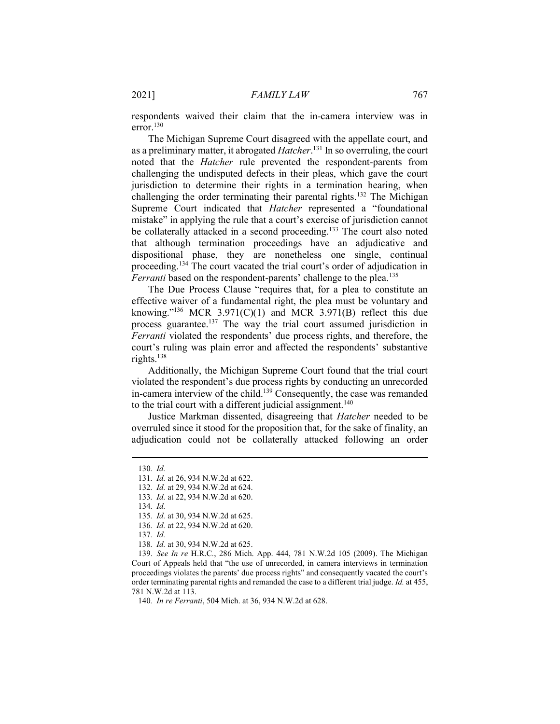respondents waived their claim that the in-camera interview was in error.<sup>130</sup>

The Michigan Supreme Court disagreed with the appellate court, and as a preliminary matter, it abrogated *Hatcher*.<sup>131</sup> In so overruling, the court noted that the Hatcher rule prevented the respondent-parents from challenging the undisputed defects in their pleas, which gave the court jurisdiction to determine their rights in a termination hearing, when challenging the order terminating their parental rights.<sup>132</sup> The Michigan Supreme Court indicated that Hatcher represented a "foundational mistake" in applying the rule that a court's exercise of jurisdiction cannot be collaterally attacked in a second proceeding.<sup>133</sup> The court also noted that although termination proceedings have an adjudicative and dispositional phase, they are nonetheless one single, continual proceeding.<sup>134</sup> The court vacated the trial court's order of adjudication in Ferranti based on the respondent-parents' challenge to the plea.<sup>135</sup>

The Due Process Clause "requires that, for a plea to constitute an effective waiver of a fundamental right, the plea must be voluntary and knowing."<sup>136</sup> MCR 3.971(C)(1) and MCR 3.971(B) reflect this due process guarantee.<sup>137</sup> The way the trial court assumed jurisdiction in Ferranti violated the respondents' due process rights, and therefore, the court's ruling was plain error and affected the respondents' substantive rights.<sup>138</sup>

Additionally, the Michigan Supreme Court found that the trial court violated the respondent's due process rights by conducting an unrecorded in-camera interview of the child.<sup>139</sup> Consequently, the case was remanded to the trial court with a different judicial assignment.<sup>140</sup>

Justice Markman dissented, disagreeing that Hatcher needed to be overruled since it stood for the proposition that, for the sake of finality, an adjudication could not be collaterally attacked following an order

<sup>130</sup>. Id.

<sup>131</sup>. Id. at 26, 934 N.W.2d at 622.

<sup>132</sup>. Id. at 29, 934 N.W.2d at 624.

<sup>133</sup>. Id. at 22, 934 N.W.2d at 620.

<sup>134</sup>. Id.

<sup>135</sup>. Id. at 30, 934 N.W.2d at 625.

<sup>136</sup>. Id. at 22, 934 N.W.2d at 620.

<sup>137</sup>. Id.

<sup>138</sup>. Id. at 30, 934 N.W.2d at 625.

 <sup>139.</sup> See In re H.R.C., 286 Mich. App. 444, 781 N.W.2d 105 (2009). The Michigan Court of Appeals held that "the use of unrecorded, in camera interviews in termination proceedings violates the parents' due process rights" and consequently vacated the court's order terminating parental rights and remanded the case to a different trial judge. Id. at 455, 781 N.W.2d at 113.

<sup>140</sup>. In re Ferranti, 504 Mich. at 36, 934 N.W.2d at 628.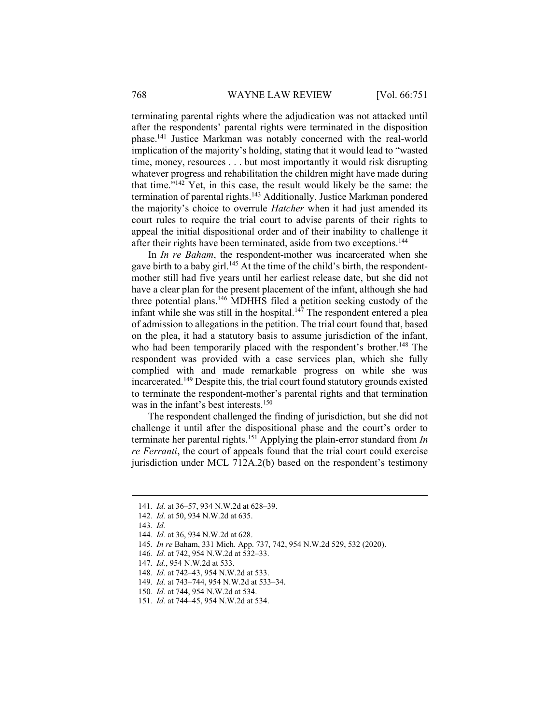terminating parental rights where the adjudication was not attacked until after the respondents' parental rights were terminated in the disposition phase.<sup>141</sup> Justice Markman was notably concerned with the real-world implication of the majority's holding, stating that it would lead to "wasted time, money, resources . . . but most importantly it would risk disrupting whatever progress and rehabilitation the children might have made during that time."<sup>142</sup> Yet, in this case, the result would likely be the same: the termination of parental rights.<sup>143</sup> Additionally, Justice Markman pondered the majority's choice to overrule Hatcher when it had just amended its court rules to require the trial court to advise parents of their rights to appeal the initial dispositional order and of their inability to challenge it after their rights have been terminated, aside from two exceptions.<sup>144</sup>

In In re Baham, the respondent-mother was incarcerated when she gave birth to a baby girl.<sup>145</sup> At the time of the child's birth, the respondentmother still had five years until her earliest release date, but she did not have a clear plan for the present placement of the infant, although she had three potential plans.<sup>146</sup> MDHHS filed a petition seeking custody of the infant while she was still in the hospital. $147$  The respondent entered a plea of admission to allegations in the petition. The trial court found that, based on the plea, it had a statutory basis to assume jurisdiction of the infant, who had been temporarily placed with the respondent's brother.<sup>148</sup> The respondent was provided with a case services plan, which she fully complied with and made remarkable progress on while she was incarcerated.<sup>149</sup> Despite this, the trial court found statutory grounds existed to terminate the respondent-mother's parental rights and that termination was in the infant's best interests.<sup>150</sup>

The respondent challenged the finding of jurisdiction, but she did not challenge it until after the dispositional phase and the court's order to terminate her parental rights.<sup>151</sup> Applying the plain-error standard from  $In$ re Ferranti, the court of appeals found that the trial court could exercise jurisdiction under MCL 712A.2(b) based on the respondent's testimony

- 145. In re Baham, 331 Mich. App. 737, 742, 954 N.W.2d 529, 532 (2020).
- 146. Id. at 742, 954 N.W.2d at 532–33.
- 147. Id., 954 N.W.2d at 533.
- 148. Id. at 742–43, 954 N.W.2d at 533.
- 149. Id. at 743–744, 954 N.W.2d at 533–34.
- 150. Id. at 744, 954 N.W.2d at 534.
- 151. Id. at 744–45, 954 N.W.2d at 534.

<sup>141</sup>. Id. at 36–57, 934 N.W.2d at 628–39.

<sup>142</sup>. Id. at 50, 934 N.W.2d at 635.

<sup>143</sup>. Id.

<sup>144</sup>. Id. at 36, 934 N.W.2d at 628.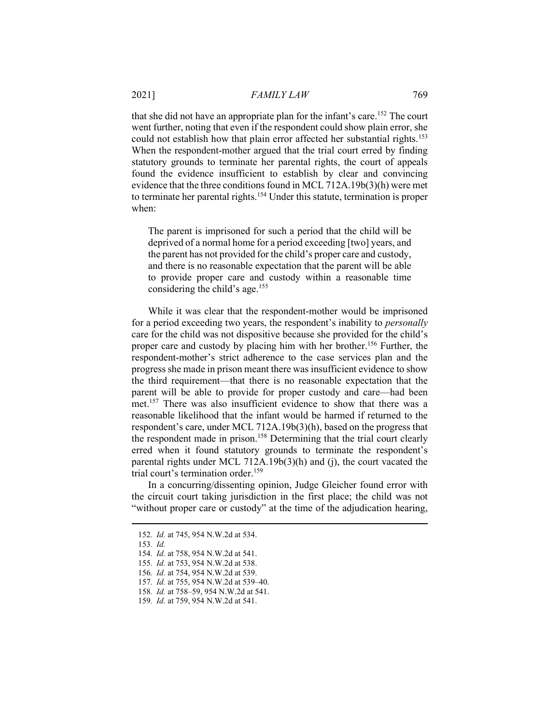that she did not have an appropriate plan for the infant's care.<sup>152</sup> The court went further, noting that even if the respondent could show plain error, she could not establish how that plain error affected her substantial rights.<sup>153</sup> When the respondent-mother argued that the trial court erred by finding statutory grounds to terminate her parental rights, the court of appeals found the evidence insufficient to establish by clear and convincing evidence that the three conditions found in MCL 712A.19b(3)(h) were met to terminate her parental rights.<sup>154</sup> Under this statute, termination is proper when:

The parent is imprisoned for such a period that the child will be deprived of a normal home for a period exceeding [two] years, and the parent has not provided for the child's proper care and custody, and there is no reasonable expectation that the parent will be able to provide proper care and custody within a reasonable time considering the child's age.<sup>155</sup>

While it was clear that the respondent-mother would be imprisoned for a period exceeding two years, the respondent's inability to *personally* care for the child was not dispositive because she provided for the child's proper care and custody by placing him with her brother.<sup>156</sup> Further, the respondent-mother's strict adherence to the case services plan and the progress she made in prison meant there was insufficient evidence to show the third requirement—that there is no reasonable expectation that the parent will be able to provide for proper custody and care—had been met.<sup>157</sup> There was also insufficient evidence to show that there was a reasonable likelihood that the infant would be harmed if returned to the respondent's care, under MCL 712A.19b(3)(h), based on the progress that the respondent made in prison.<sup>158</sup> Determining that the trial court clearly erred when it found statutory grounds to terminate the respondent's parental rights under MCL 712A.19b(3)(h) and (j), the court vacated the trial court's termination order.<sup>159</sup>

In a concurring/dissenting opinion, Judge Gleicher found error with the circuit court taking jurisdiction in the first place; the child was not "without proper care or custody" at the time of the adjudication hearing,

153. Id.

<sup>152</sup>. Id. at 745, 954 N.W.2d at 534.

<sup>154</sup>. Id. at 758, 954 N.W.2d at 541.

<sup>155</sup>. Id. at 753, 954 N.W.2d at 538.

<sup>156</sup>. Id. at 754, 954 N.W.2d at 539.

<sup>157</sup>. Id. at 755, 954 N.W.2d at 539–40.

<sup>158</sup>. Id. at 758–59, 954 N.W.2d at 541.

<sup>159</sup>. Id. at 759, 954 N.W.2d at 541.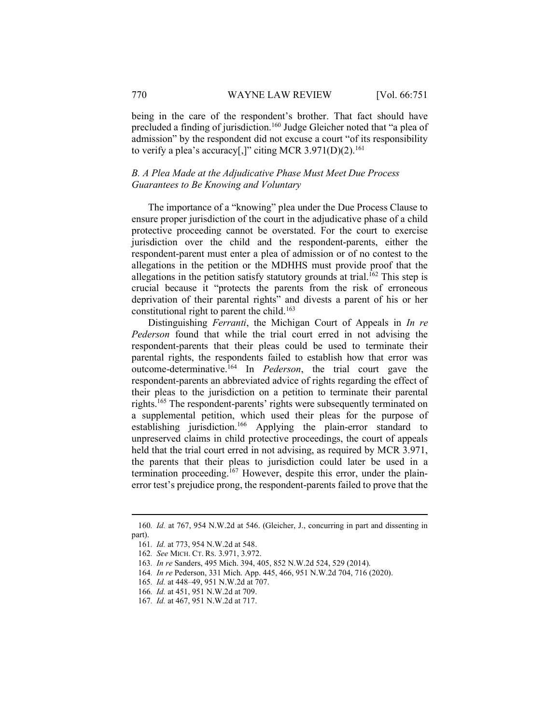being in the care of the respondent's brother. That fact should have precluded a finding of jurisdiction.<sup>160</sup> Judge Gleicher noted that "a plea of admission" by the respondent did not excuse a court "of its responsibility to verify a plea's accuracy[,]" citing MCR 3.971(D)(2).<sup>161</sup>

## B. A Plea Made at the Adjudicative Phase Must Meet Due Process Guarantees to Be Knowing and Voluntary

The importance of a "knowing" plea under the Due Process Clause to ensure proper jurisdiction of the court in the adjudicative phase of a child protective proceeding cannot be overstated. For the court to exercise jurisdiction over the child and the respondent-parents, either the respondent-parent must enter a plea of admission or of no contest to the allegations in the petition or the MDHHS must provide proof that the allegations in the petition satisfy statutory grounds at trial.<sup>162</sup> This step is crucial because it "protects the parents from the risk of erroneous deprivation of their parental rights" and divests a parent of his or her constitutional right to parent the child.<sup>163</sup>

Distinguishing *Ferranti*, the Michigan Court of Appeals in *In re* Pederson found that while the trial court erred in not advising the respondent-parents that their pleas could be used to terminate their parental rights, the respondents failed to establish how that error was outcome-determinative.<sup>164</sup> In *Pederson*, the trial court gave the respondent-parents an abbreviated advice of rights regarding the effect of their pleas to the jurisdiction on a petition to terminate their parental rights.<sup>165</sup> The respondent-parents' rights were subsequently terminated on a supplemental petition, which used their pleas for the purpose of establishing jurisdiction.<sup>166</sup> Applying the plain-error standard to unpreserved claims in child protective proceedings, the court of appeals held that the trial court erred in not advising, as required by MCR 3.971, the parents that their pleas to jurisdiction could later be used in a termination proceeding.<sup>167</sup> However, despite this error, under the plainerror test's prejudice prong, the respondent-parents failed to prove that the

<sup>160</sup>. Id. at 767, 954 N.W.2d at 546. (Gleicher, J., concurring in part and dissenting in part).

<sup>161</sup>. Id. at 773, 954 N.W.2d at 548.

<sup>162</sup>. See MICH. CT. RS. 3.971, 3.972.

<sup>163</sup>. In re Sanders, 495 Mich. 394, 405, 852 N.W.2d 524, 529 (2014).

<sup>164</sup>. In re Pederson, 331 Mich. App. 445, 466, 951 N.W.2d 704, 716 (2020).

<sup>165</sup>. Id. at 448–49, 951 N.W.2d at 707.

<sup>166</sup>. Id. at 451, 951 N.W.2d at 709.

<sup>167</sup>. Id. at 467, 951 N.W.2d at 717.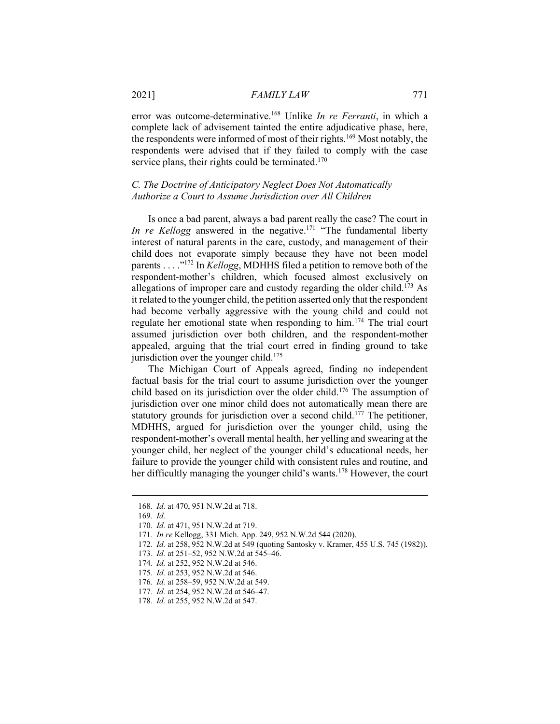error was outcome-determinative.<sup>168</sup> Unlike *In re Ferranti*, in which a complete lack of advisement tainted the entire adjudicative phase, here, the respondents were informed of most of their rights.<sup>169</sup> Most notably, the respondents were advised that if they failed to comply with the case service plans, their rights could be terminated. $170$ 

# C. The Doctrine of Anticipatory Neglect Does Not Automatically Authorize a Court to Assume Jurisdiction over All Children

Is once a bad parent, always a bad parent really the case? The court in In re Kellogg answered in the negative.<sup>171</sup> "The fundamental liberty interest of natural parents in the care, custody, and management of their child does not evaporate simply because they have not been model parents . . . .<sup>"172</sup> In *Kellogg*, MDHHS filed a petition to remove both of the respondent-mother's children, which focused almost exclusively on allegations of improper care and custody regarding the older child.<sup>173</sup> As it related to the younger child, the petition asserted only that the respondent had become verbally aggressive with the young child and could not regulate her emotional state when responding to him.<sup>174</sup> The trial court assumed jurisdiction over both children, and the respondent-mother appealed, arguing that the trial court erred in finding ground to take jurisdiction over the younger child.<sup>175</sup>

The Michigan Court of Appeals agreed, finding no independent factual basis for the trial court to assume jurisdiction over the younger child based on its jurisdiction over the older child.<sup>176</sup> The assumption of jurisdiction over one minor child does not automatically mean there are statutory grounds for jurisdiction over a second child.<sup>177</sup> The petitioner, MDHHS, argued for jurisdiction over the younger child, using the respondent-mother's overall mental health, her yelling and swearing at the younger child, her neglect of the younger child's educational needs, her failure to provide the younger child with consistent rules and routine, and her difficultly managing the younger child's wants.<sup>178</sup> However, the court

<sup>168</sup>. Id. at 470, 951 N.W.2d at 718.

<sup>169</sup>. Id.

<sup>170</sup>. Id. at 471, 951 N.W.2d at 719.

<sup>171</sup>. In re Kellogg, 331 Mich. App. 249, 952 N.W.2d 544 (2020).

<sup>172</sup>. Id. at 258, 952 N.W.2d at 549 (quoting Santosky v. Kramer, 455 U.S. 745 (1982)).

<sup>173</sup>. Id. at 251–52, 952 N.W.2d at 545–46.

<sup>174</sup>. Id. at 252, 952 N.W.2d at 546.

<sup>175</sup>. Id. at 253, 952 N.W.2d at 546.

<sup>176</sup>. Id. at 258–59, 952 N.W.2d at 549.

<sup>177.</sup> *Id.* at 254, 952 N.W.2d at 546–47.

<sup>178</sup>. Id. at 255, 952 N.W.2d at 547.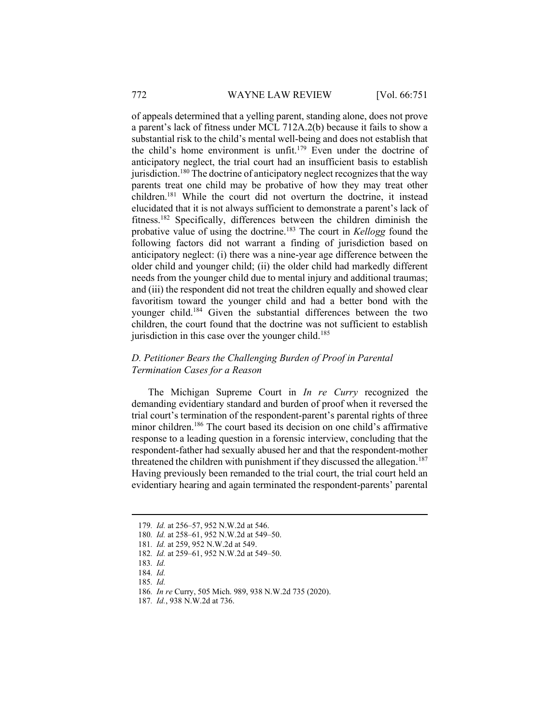of appeals determined that a yelling parent, standing alone, does not prove a parent's lack of fitness under MCL 712A.2(b) because it fails to show a substantial risk to the child's mental well-being and does not establish that the child's home environment is unfit.<sup>179</sup> Even under the doctrine of anticipatory neglect, the trial court had an insufficient basis to establish jurisdiction.<sup>180</sup> The doctrine of anticipatory neglect recognizes that the way parents treat one child may be probative of how they may treat other children.<sup>181</sup> While the court did not overturn the doctrine, it instead elucidated that it is not always sufficient to demonstrate a parent's lack of fitness.<sup>182</sup> Specifically, differences between the children diminish the probative value of using the doctrine.<sup>183</sup> The court in Kellogg found the following factors did not warrant a finding of jurisdiction based on anticipatory neglect: (i) there was a nine-year age difference between the older child and younger child; (ii) the older child had markedly different needs from the younger child due to mental injury and additional traumas; and (iii) the respondent did not treat the children equally and showed clear favoritism toward the younger child and had a better bond with the younger child.<sup>184</sup> Given the substantial differences between the two children, the court found that the doctrine was not sufficient to establish jurisdiction in this case over the younger child.<sup>185</sup>

# D. Petitioner Bears the Challenging Burden of Proof in Parental Termination Cases for a Reason

The Michigan Supreme Court in *In re Curry* recognized the demanding evidentiary standard and burden of proof when it reversed the trial court's termination of the respondent-parent's parental rights of three minor children.<sup>186</sup> The court based its decision on one child's affirmative response to a leading question in a forensic interview, concluding that the respondent-father had sexually abused her and that the respondent-mother threatened the children with punishment if they discussed the allegation.<sup>187</sup> Having previously been remanded to the trial court, the trial court held an evidentiary hearing and again terminated the respondent-parents' parental

<sup>179</sup>. Id. at 256–57, 952 N.W.2d at 546.

<sup>180</sup>. Id. at 258–61, 952 N.W.2d at 549–50.

<sup>181</sup>. Id. at 259, 952 N.W.2d at 549.

<sup>182</sup>. Id. at 259–61, 952 N.W.2d at 549–50.

<sup>183</sup>. Id.

<sup>184</sup>. Id.

<sup>185</sup>. Id.

<sup>186</sup>. In re Curry, 505 Mich. 989, 938 N.W.2d 735 (2020).

<sup>187</sup>. Id., 938 N.W.2d at 736.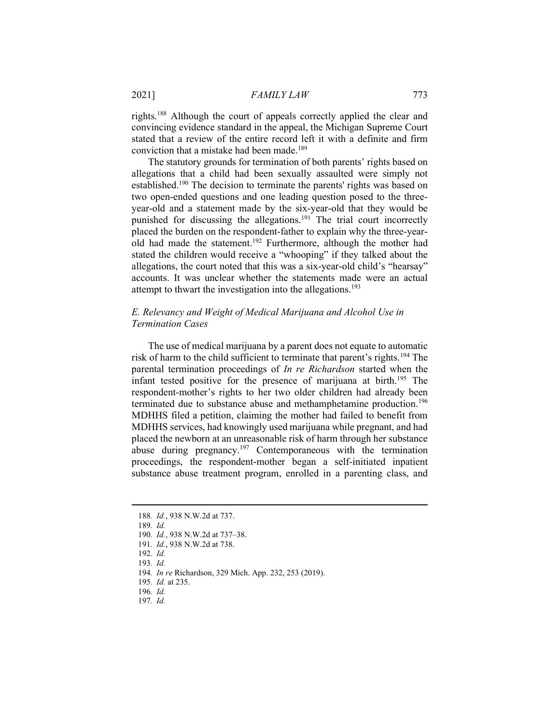rights.<sup>188</sup> Although the court of appeals correctly applied the clear and convincing evidence standard in the appeal, the Michigan Supreme Court stated that a review of the entire record left it with a definite and firm conviction that a mistake had been made.<sup>189</sup>

The statutory grounds for termination of both parents' rights based on allegations that a child had been sexually assaulted were simply not established.<sup>190</sup> The decision to terminate the parents' rights was based on two open-ended questions and one leading question posed to the threeyear-old and a statement made by the six-year-old that they would be punished for discussing the allegations.<sup>191</sup> The trial court incorrectly placed the burden on the respondent-father to explain why the three-yearold had made the statement.<sup>192</sup> Furthermore, although the mother had stated the children would receive a "whooping" if they talked about the allegations, the court noted that this was a six-year-old child's "hearsay" accounts. It was unclear whether the statements made were an actual attempt to thwart the investigation into the allegations.<sup>193</sup>

## E. Relevancy and Weight of Medical Marijuana and Alcohol Use in Termination Cases

The use of medical marijuana by a parent does not equate to automatic risk of harm to the child sufficient to terminate that parent's rights.<sup>194</sup> The parental termination proceedings of In re Richardson started when the infant tested positive for the presence of marijuana at birth.<sup>195</sup> The respondent-mother's rights to her two older children had already been terminated due to substance abuse and methamphetamine production.<sup>196</sup> MDHHS filed a petition, claiming the mother had failed to benefit from MDHHS services, had knowingly used marijuana while pregnant, and had placed the newborn at an unreasonable risk of harm through her substance abuse during pregnancy.<sup>197</sup> Contemporaneous with the termination proceedings, the respondent-mother began a self-initiated inpatient substance abuse treatment program, enrolled in a parenting class, and

<sup>188</sup>. Id., 938 N.W.2d at 737.

<sup>189</sup>. Id.

<sup>190</sup>. Id., 938 N.W.2d at 737–38.

<sup>191</sup>. Id., 938 N.W.2d at 738.

<sup>192</sup>. Id.

<sup>193</sup>. Id.

<sup>194</sup>. In re Richardson, 329 Mich. App. 232, 253 (2019).

<sup>195</sup>. Id. at 235.

<sup>196</sup>. Id.

<sup>197</sup>. Id.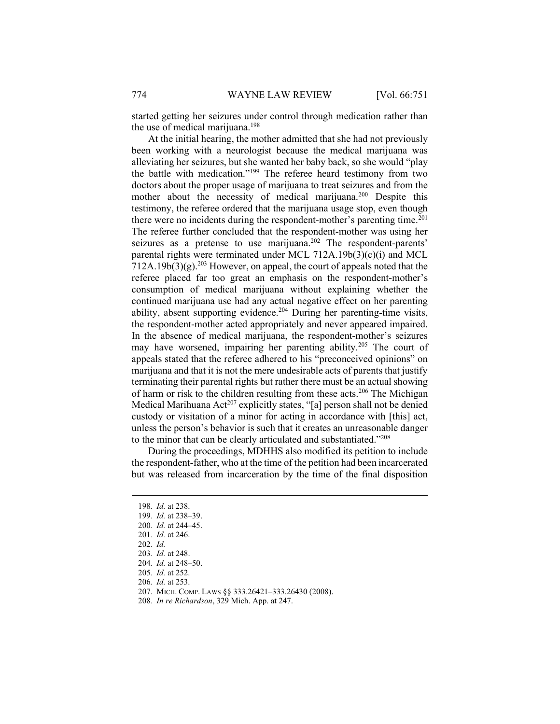started getting her seizures under control through medication rather than the use of medical marijuana.<sup>198</sup>

At the initial hearing, the mother admitted that she had not previously been working with a neurologist because the medical marijuana was alleviating her seizures, but she wanted her baby back, so she would "play the battle with medication."<sup>199</sup> The referee heard testimony from two doctors about the proper usage of marijuana to treat seizures and from the mother about the necessity of medical marijuana.<sup>200</sup> Despite this testimony, the referee ordered that the marijuana usage stop, even though there were no incidents during the respondent-mother's parenting time. $^{201}$ The referee further concluded that the respondent-mother was using her seizures as a pretense to use marijuana.<sup>202</sup> The respondent-parents' parental rights were terminated under MCL 712A.19b(3)(c)(i) and MCL  $712A.19b(3)(g).<sup>203</sup>$  However, on appeal, the court of appeals noted that the referee placed far too great an emphasis on the respondent-mother's consumption of medical marijuana without explaining whether the continued marijuana use had any actual negative effect on her parenting ability, absent supporting evidence.<sup>204</sup> During her parenting-time visits, the respondent-mother acted appropriately and never appeared impaired. In the absence of medical marijuana, the respondent-mother's seizures may have worsened, impairing her parenting ability.<sup>205</sup> The court of appeals stated that the referee adhered to his "preconceived opinions" on marijuana and that it is not the mere undesirable acts of parents that justify terminating their parental rights but rather there must be an actual showing of harm or risk to the children resulting from these acts.<sup>206</sup> The Michigan Medical Marihuana Act<sup>207</sup> explicitly states, "[a] person shall not be denied custody or visitation of a minor for acting in accordance with [this] act, unless the person's behavior is such that it creates an unreasonable danger to the minor that can be clearly articulated and substantiated."<sup>208</sup>

During the proceedings, MDHHS also modified its petition to include the respondent-father, who at the time of the petition had been incarcerated but was released from incarceration by the time of the final disposition

200. Id. at 244–45.

202. Id.

<sup>198</sup>. Id. at 238.

<sup>199</sup>. Id. at 238–39.

<sup>201</sup>. Id. at 246.

<sup>203</sup>. Id. at 248.

<sup>204</sup>. Id. at 248–50.

<sup>205</sup>. Id. at 252.

<sup>206</sup>. Id. at 253.

 <sup>207.</sup> MICH. COMP. LAWS §§ 333.26421–333.26430 (2008).

<sup>208</sup>. In re Richardson, 329 Mich. App. at 247.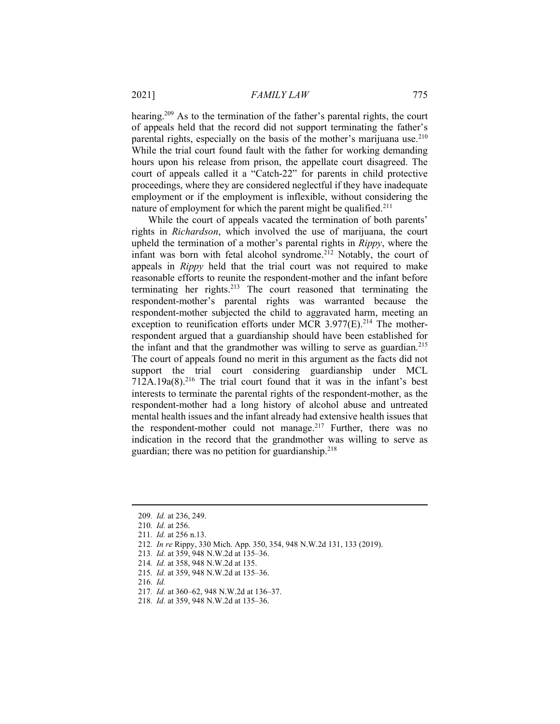#### 2021] FAMILY LAW 775

hearing.<sup>209</sup> As to the termination of the father's parental rights, the court of appeals held that the record did not support terminating the father's parental rights, especially on the basis of the mother's marijuana use. $210$ While the trial court found fault with the father for working demanding hours upon his release from prison, the appellate court disagreed. The court of appeals called it a "Catch-22" for parents in child protective proceedings, where they are considered neglectful if they have inadequate employment or if the employment is inflexible, without considering the nature of employment for which the parent might be qualified.<sup>211</sup>

While the court of appeals vacated the termination of both parents' rights in Richardson, which involved the use of marijuana, the court upheld the termination of a mother's parental rights in *Rippy*, where the infant was born with fetal alcohol syndrome.<sup>212</sup> Notably, the court of appeals in Rippy held that the trial court was not required to make reasonable efforts to reunite the respondent-mother and the infant before terminating her rights. $213$  The court reasoned that terminating the respondent-mother's parental rights was warranted because the respondent-mother subjected the child to aggravated harm, meeting an exception to reunification efforts under MCR 3.977(E).<sup>214</sup> The motherrespondent argued that a guardianship should have been established for the infant and that the grandmother was willing to serve as guardian.<sup>215</sup> The court of appeals found no merit in this argument as the facts did not support the trial court considering guardianship under MCL  $712A.19a(8).^{216}$  The trial court found that it was in the infant's best interests to terminate the parental rights of the respondent-mother, as the respondent-mother had a long history of alcohol abuse and untreated mental health issues and the infant already had extensive health issues that the respondent-mother could not manage.<sup>217</sup> Further, there was no indication in the record that the grandmother was willing to serve as guardian; there was no petition for guardianship. $218$ 

- 212. In re Rippy, 330 Mich. App. 350, 354, 948 N.W.2d 131, 133 (2019).
- 213. Id. at 359, 948 N.W.2d at 135–36.
- 214. Id. at 358, 948 N.W.2d at 135.
- 215. Id. at 359, 948 N.W.2d at 135–36.
- 216. Id.
- 217. Id. at 360–62, 948 N.W.2d at 136–37.
- 218. Id. at 359, 948 N.W.2d at 135–36.

<sup>209</sup>. Id. at 236, 249.

<sup>210</sup>. Id. at 256.

<sup>211</sup>. Id. at 256 n.13.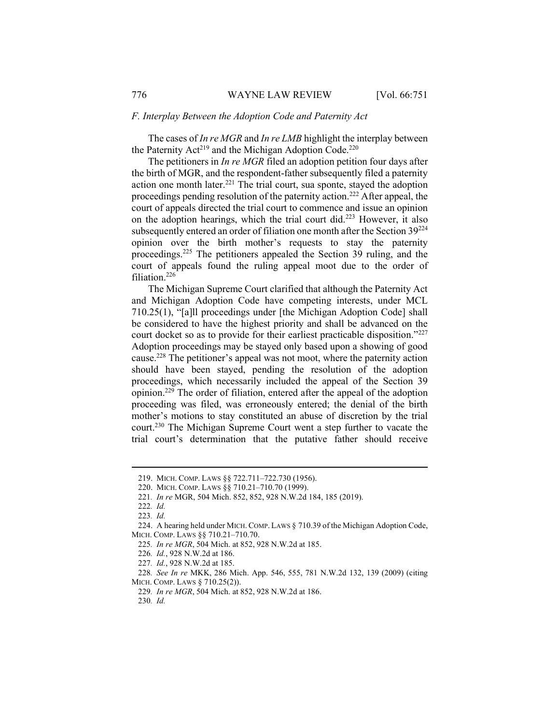#### F. Interplay Between the Adoption Code and Paternity Act

The cases of In re MGR and In re LMB highlight the interplay between the Paternity Act<sup>219</sup> and the Michigan Adoption Code.<sup>220</sup>

The petitioners in *In re MGR* filed an adoption petition four days after the birth of MGR, and the respondent-father subsequently filed a paternity action one month later.<sup>221</sup> The trial court, sua sponte, stayed the adoption proceedings pending resolution of the paternity action.<sup>222</sup> After appeal, the court of appeals directed the trial court to commence and issue an opinion on the adoption hearings, which the trial court did.<sup>223</sup> However, it also subsequently entered an order of filiation one month after the Section  $39^{224}$ opinion over the birth mother's requests to stay the paternity proceedings.<sup>225</sup> The petitioners appealed the Section 39 ruling, and the court of appeals found the ruling appeal moot due to the order of filiation.<sup>226</sup>

The Michigan Supreme Court clarified that although the Paternity Act and Michigan Adoption Code have competing interests, under MCL 710.25(1), "[a]ll proceedings under [the Michigan Adoption Code] shall be considered to have the highest priority and shall be advanced on the court docket so as to provide for their earliest practicable disposition."<sup>227</sup> Adoption proceedings may be stayed only based upon a showing of good cause.<sup>228</sup> The petitioner's appeal was not moot, where the paternity action should have been stayed, pending the resolution of the adoption proceedings, which necessarily included the appeal of the Section 39 opinion.<sup>229</sup> The order of filiation, entered after the appeal of the adoption proceeding was filed, was erroneously entered; the denial of the birth mother's motions to stay constituted an abuse of discretion by the trial court.<sup>230</sup> The Michigan Supreme Court went a step further to vacate the trial court's determination that the putative father should receive

 <sup>219.</sup> MICH. COMP. LAWS §§ 722.711–722.730 (1956).

 <sup>220.</sup> MICH. COMP. LAWS §§ 710.21–710.70 (1999).

<sup>221</sup>. In re MGR, 504 Mich. 852, 852, 928 N.W.2d 184, 185 (2019).

<sup>222</sup>. Id.

<sup>223</sup>. Id.

 <sup>224.</sup> A hearing held under MICH.COMP. LAWS § 710.39 of the Michigan Adoption Code, MICH. COMP. LAWS §§ 710.21–710.70.

<sup>225</sup>. In re MGR, 504 Mich. at 852, 928 N.W.2d at 185.

<sup>226</sup>. Id., 928 N.W.2d at 186.

<sup>227</sup>. Id., 928 N.W.2d at 185.

<sup>228</sup>. See In re MKK, 286 Mich. App. 546, 555, 781 N.W.2d 132, 139 (2009) (citing MICH. COMP. LAWS § 710.25(2)).

<sup>229</sup>. In re MGR, 504 Mich. at 852, 928 N.W.2d at 186.

<sup>230</sup>. Id.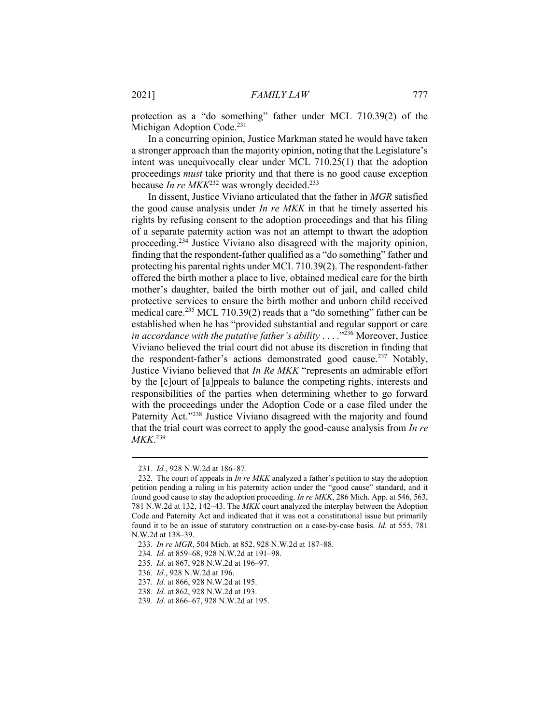protection as a "do something" father under MCL 710.39(2) of the Michigan Adoption Code.<sup>231</sup>

In a concurring opinion, Justice Markman stated he would have taken a stronger approach than the majority opinion, noting that the Legislature's intent was unequivocally clear under MCL 710.25(1) that the adoption proceedings must take priority and that there is no good cause exception because In re  $MKK<sup>232</sup>$  was wrongly decided.<sup>233</sup>

In dissent, Justice Viviano articulated that the father in MGR satisfied the good cause analysis under  $In re MKK$  in that he timely asserted his rights by refusing consent to the adoption proceedings and that his filing of a separate paternity action was not an attempt to thwart the adoption proceeding.<sup>234</sup> Justice Viviano also disagreed with the majority opinion, finding that the respondent-father qualified as a "do something" father and protecting his parental rights under MCL 710.39(2). The respondent-father offered the birth mother a place to live, obtained medical care for the birth mother's daughter, bailed the birth mother out of jail, and called child protective services to ensure the birth mother and unborn child received medical care.<sup>235</sup> MCL 710.39(2) reads that a "do something" father can be established when he has "provided substantial and regular support or care in accordance with the putative father's ability  $\ldots$   $\cdot$ <sup>236</sup> Moreover, Justice Viviano believed the trial court did not abuse its discretion in finding that the respondent-father's actions demonstrated good cause.<sup>237</sup> Notably, Justice Viviano believed that In Re MKK "represents an admirable effort by the [c]ourt of [a]ppeals to balance the competing rights, interests and responsibilities of the parties when determining whether to go forward with the proceedings under the Adoption Code or a case filed under the Paternity Act."<sup>238</sup> Justice Viviano disagreed with the majority and found that the trial court was correct to apply the good-cause analysis from In re MKK. 239

<sup>231</sup>. Id., 928 N.W.2d at 186–87.

<sup>232.</sup> The court of appeals in *In re MKK* analyzed a father's petition to stay the adoption petition pending a ruling in his paternity action under the "good cause" standard, and it found good cause to stay the adoption proceeding. In re MKK, 286 Mich. App. at 546, 563, 781 N.W.2d at 132, 142–43. The MKK court analyzed the interplay between the Adoption Code and Paternity Act and indicated that it was not a constitutional issue but primarily found it to be an issue of statutory construction on a case-by-case basis. Id. at 555, 781 N.W.2d at 138–39.

<sup>233</sup>. In re MGR, 504 Mich. at 852, 928 N.W.2d at 187–88.

<sup>234</sup>. Id. at 859–68, 928 N.W.2d at 191–98.

<sup>235</sup>. Id. at 867, 928 N.W.2d at 196–97.

<sup>236</sup>. Id., 928 N.W.2d at 196.

<sup>237</sup>. Id. at 866, 928 N.W.2d at 195.

<sup>238</sup>. Id. at 862, 928 N.W.2d at 193.

<sup>239</sup>. Id. at 866–67, 928 N.W.2d at 195.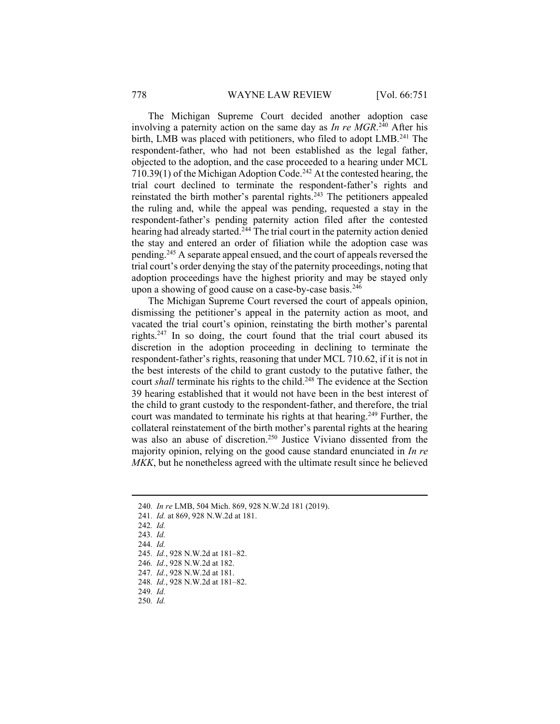The Michigan Supreme Court decided another adoption case involving a paternity action on the same day as  $In re MGR.<sup>240</sup>$  After his birth, LMB was placed with petitioners, who filed to adopt LMB.<sup>241</sup> The respondent-father, who had not been established as the legal father, objected to the adoption, and the case proceeded to a hearing under MCL 710.39(1) of the Michigan Adoption Code.<sup>242</sup> At the contested hearing, the trial court declined to terminate the respondent-father's rights and reinstated the birth mother's parental rights.<sup>243</sup> The petitioners appealed the ruling and, while the appeal was pending, requested a stay in the respondent-father's pending paternity action filed after the contested hearing had already started.<sup>244</sup> The trial court in the paternity action denied the stay and entered an order of filiation while the adoption case was pending.<sup>245</sup> A separate appeal ensued, and the court of appeals reversed the trial court's order denying the stay of the paternity proceedings, noting that adoption proceedings have the highest priority and may be stayed only upon a showing of good cause on a case-by-case basis.<sup>246</sup>

The Michigan Supreme Court reversed the court of appeals opinion, dismissing the petitioner's appeal in the paternity action as moot, and vacated the trial court's opinion, reinstating the birth mother's parental rights.<sup>247</sup> In so doing, the court found that the trial court abused its discretion in the adoption proceeding in declining to terminate the respondent-father's rights, reasoning that under MCL 710.62, if it is not in the best interests of the child to grant custody to the putative father, the court shall terminate his rights to the child.<sup>248</sup> The evidence at the Section 39 hearing established that it would not have been in the best interest of the child to grant custody to the respondent-father, and therefore, the trial court was mandated to terminate his rights at that hearing.<sup>249</sup> Further, the collateral reinstatement of the birth mother's parental rights at the hearing was also an abuse of discretion.<sup>250</sup> Justice Viviano dissented from the majority opinion, relying on the good cause standard enunciated in In re MKK, but he nonetheless agreed with the ultimate result since he believed

242. Id.

- 244. Id.
- 245. Id., 928 N.W.2d at 181–82.
- 246. Id., 928 N.W.2d at 182.
- 247. Id., 928 N.W.2d at 181.
- 248. Id., 928 N.W.2d at 181–82.
- 249. Id.
- 250. Id.

<sup>240</sup>. In re LMB, 504 Mich. 869, 928 N.W.2d 181 (2019).

<sup>241</sup>. Id. at 869, 928 N.W.2d at 181.

<sup>243</sup>. Id.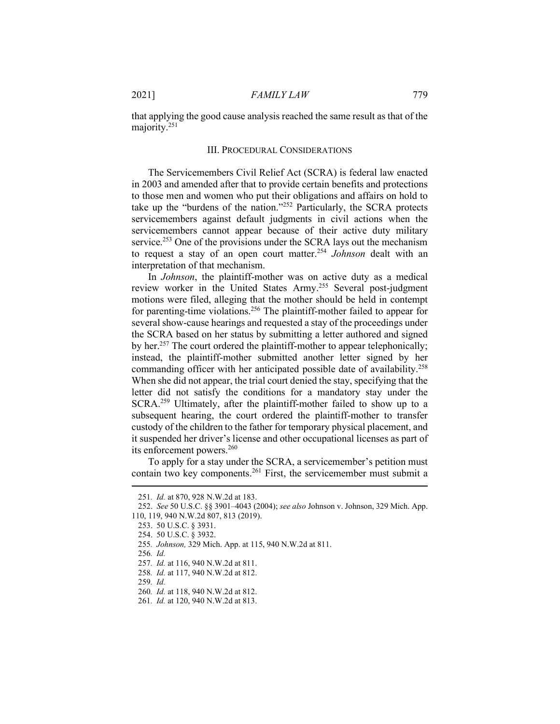that applying the good cause analysis reached the same result as that of the majority.<sup>251</sup>

### III. PROCEDURAL CONSIDERATIONS

The Servicemembers Civil Relief Act (SCRA) is federal law enacted in 2003 and amended after that to provide certain benefits and protections to those men and women who put their obligations and affairs on hold to take up the "burdens of the nation."<sup>252</sup> Particularly, the SCRA protects servicemembers against default judgments in civil actions when the servicemembers cannot appear because of their active duty military service.<sup>253</sup> One of the provisions under the SCRA lays out the mechanism to request a stay of an open court matter.<sup>254</sup> Johnson dealt with an interpretation of that mechanism.

In Johnson, the plaintiff-mother was on active duty as a medical review worker in the United States Army.<sup>255</sup> Several post-judgment motions were filed, alleging that the mother should be held in contempt for parenting-time violations.<sup>256</sup> The plaintiff-mother failed to appear for several show-cause hearings and requested a stay of the proceedings under the SCRA based on her status by submitting a letter authored and signed by her.<sup>257</sup> The court ordered the plaintiff-mother to appear telephonically; instead, the plaintiff-mother submitted another letter signed by her commanding officer with her anticipated possible date of availability.<sup>258</sup> When she did not appear, the trial court denied the stay, specifying that the letter did not satisfy the conditions for a mandatory stay under the SCRA.<sup>259</sup> Ultimately, after the plaintiff-mother failed to show up to a subsequent hearing, the court ordered the plaintiff-mother to transfer custody of the children to the father for temporary physical placement, and it suspended her driver's license and other occupational licenses as part of its enforcement powers.<sup>260</sup>

To apply for a stay under the SCRA, a servicemember's petition must contain two key components.<sup>261</sup> First, the servicemember must submit a

256. Id.

<sup>251</sup>. Id. at 870, 928 N.W.2d at 183.

 <sup>252.</sup> See 50 U.S.C. §§ 3901–4043 (2004); see also Johnson v. Johnson, 329 Mich. App. 110, 119, 940 N.W.2d 807, 813 (2019).

 <sup>253. 50</sup> U.S.C. § 3931.

 <sup>254. 50</sup> U.S.C. § 3932.

<sup>255</sup>. Johnson, 329 Mich. App. at 115, 940 N.W.2d at 811.

<sup>257</sup>. Id. at 116, 940 N.W.2d at 811.

<sup>258</sup>. Id. at 117, 940 N.W.2d at 812.

<sup>259</sup>. Id.

<sup>260</sup>. Id. at 118, 940 N.W.2d at 812.

<sup>261</sup>. Id. at 120, 940 N.W.2d at 813.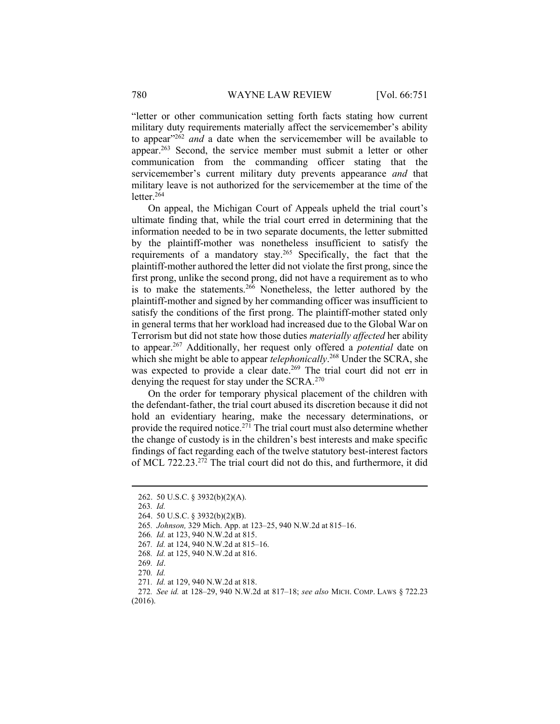"letter or other communication setting forth facts stating how current military duty requirements materially affect the servicemember's ability to appear"<sup>262</sup> and a date when the servicemember will be available to appear.<sup>263</sup> Second, the service member must submit a letter or other communication from the commanding officer stating that the servicemember's current military duty prevents appearance and that military leave is not authorized for the servicemember at the time of the letter. $264$ 

On appeal, the Michigan Court of Appeals upheld the trial court's ultimate finding that, while the trial court erred in determining that the information needed to be in two separate documents, the letter submitted by the plaintiff-mother was nonetheless insufficient to satisfy the requirements of a mandatory stay.<sup>265</sup> Specifically, the fact that the plaintiff-mother authored the letter did not violate the first prong, since the first prong, unlike the second prong, did not have a requirement as to who is to make the statements.<sup>266</sup> Nonetheless, the letter authored by the plaintiff-mother and signed by her commanding officer was insufficient to satisfy the conditions of the first prong. The plaintiff-mother stated only in general terms that her workload had increased due to the Global War on Terrorism but did not state how those duties materially affected her ability to appear.<sup>267</sup> Additionally, her request only offered a *potential* date on which she might be able to appear telephonically.<sup>268</sup> Under the SCRA, she was expected to provide a clear date.<sup>269</sup> The trial court did not err in denying the request for stay under the SCRA.<sup>270</sup>

On the order for temporary physical placement of the children with the defendant-father, the trial court abused its discretion because it did not hold an evidentiary hearing, make the necessary determinations, or provide the required notice.<sup>271</sup> The trial court must also determine whether the change of custody is in the children's best interests and make specific findings of fact regarding each of the twelve statutory best-interest factors of MCL 722.23.<sup>272</sup> The trial court did not do this, and furthermore, it did

- 267. Id. at 124, 940 N.W.2d at 815–16.
- 268. Id. at 125, 940 N.W.2d at 816.
- 269. Id.
- 270. Id.

 <sup>262. 50</sup> U.S.C. § 3932(b)(2)(A).

<sup>263</sup>. Id.

 <sup>264. 50</sup> U.S.C. § 3932(b)(2)(B).

<sup>265</sup>. Johnson, 329 Mich. App. at 123–25, 940 N.W.2d at 815–16.

<sup>266</sup>. Id. at 123, 940 N.W.2d at 815.

<sup>271</sup>. Id. at 129, 940 N.W.2d at 818.

<sup>272</sup>. See id. at 128–29, 940 N.W.2d at 817–18; see also MICH. COMP. LAWS § 722.23 (2016).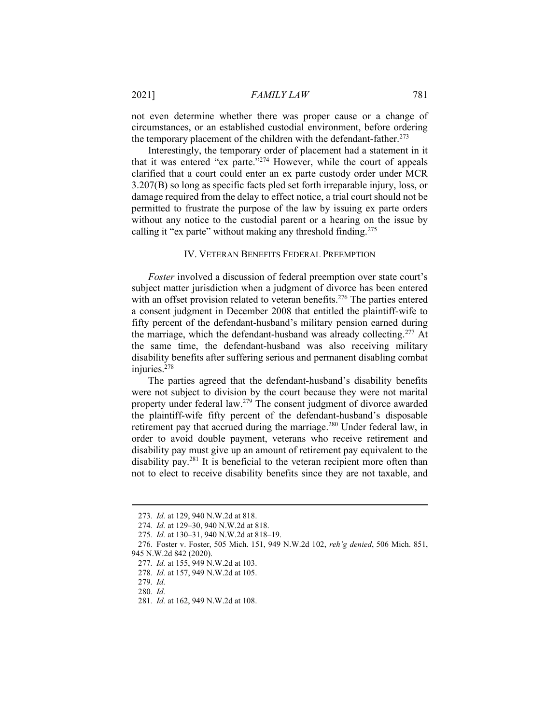not even determine whether there was proper cause or a change of circumstances, or an established custodial environment, before ordering the temporary placement of the children with the defendant-father.<sup>273</sup>

Interestingly, the temporary order of placement had a statement in it that it was entered "ex parte."<sup>274</sup> However, while the court of appeals clarified that a court could enter an ex parte custody order under MCR 3.207(B) so long as specific facts pled set forth irreparable injury, loss, or damage required from the delay to effect notice, a trial court should not be permitted to frustrate the purpose of the law by issuing ex parte orders without any notice to the custodial parent or a hearing on the issue by calling it "ex parte" without making any threshold finding.<sup>275</sup>

## IV. VETERAN BENEFITS FEDERAL PREEMPTION

Foster involved a discussion of federal preemption over state court's subject matter jurisdiction when a judgment of divorce has been entered with an offset provision related to veteran benefits.<sup>276</sup> The parties entered a consent judgment in December 2008 that entitled the plaintiff-wife to fifty percent of the defendant-husband's military pension earned during the marriage, which the defendant-husband was already collecting.<sup>277</sup> At the same time, the defendant-husband was also receiving military disability benefits after suffering serious and permanent disabling combat injuries.<sup>278</sup>

The parties agreed that the defendant-husband's disability benefits were not subject to division by the court because they were not marital property under federal law.<sup>279</sup> The consent judgment of divorce awarded the plaintiff-wife fifty percent of the defendant-husband's disposable retirement pay that accrued during the marriage.<sup>280</sup> Under federal law, in order to avoid double payment, veterans who receive retirement and disability pay must give up an amount of retirement pay equivalent to the disability pay.<sup>281</sup> It is beneficial to the veteran recipient more often than not to elect to receive disability benefits since they are not taxable, and

<sup>273</sup>. Id. at 129, 940 N.W.2d at 818.

<sup>274</sup>. Id. at 129–30, 940 N.W.2d at 818.

<sup>275</sup>. Id. at 130–31, 940 N.W.2d at 818–19.

 <sup>276.</sup> Foster v. Foster, 505 Mich. 151, 949 N.W.2d 102, reh'g denied, 506 Mich. 851, 945 N.W.2d 842 (2020).

<sup>277</sup>. Id. at 155, 949 N.W.2d at 103.

<sup>278</sup>. Id. at 157, 949 N.W.2d at 105.

<sup>279</sup>. Id.

<sup>280</sup>. Id.

<sup>281</sup>. Id. at 162, 949 N.W.2d at 108.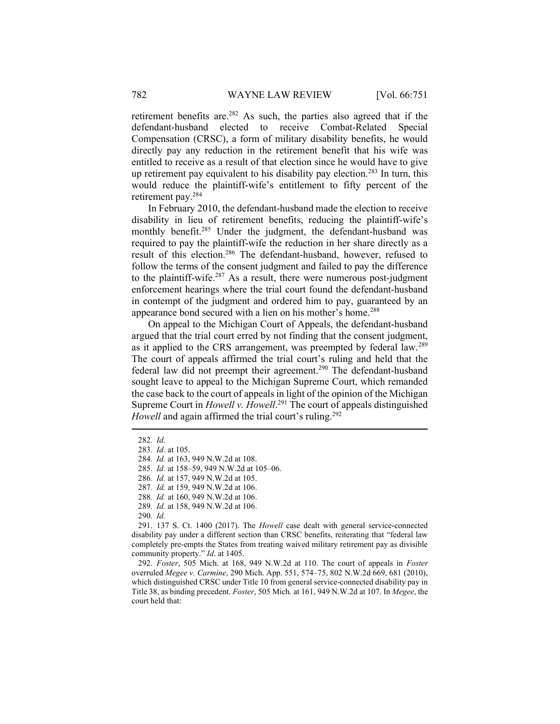retirement benefits are.<sup>282</sup> As such, the parties also agreed that if the defendant-husband elected to receive Combat-Related Special Compensation (CRSC), a form of military disability benefits, he would directly pay any reduction in the retirement benefit that his wife was entitled to receive as a result of that election since he would have to give up retirement pay equivalent to his disability pay election.<sup>283</sup> In turn, this would reduce the plaintiff-wife's entitlement to fifty percent of the retirement pay.<sup>284</sup>

In February 2010, the defendant-husband made the election to receive disability in lieu of retirement benefits, reducing the plaintiff-wife's monthly benefit.<sup>285</sup> Under the judgment, the defendant-husband was required to pay the plaintiff-wife the reduction in her share directly as a result of this election.<sup>286</sup> The defendant-husband, however, refused to follow the terms of the consent judgment and failed to pay the difference to the plaintiff-wife.<sup>287</sup> As a result, there were numerous post-judgment enforcement hearings where the trial court found the defendant-husband in contempt of the judgment and ordered him to pay, guaranteed by an appearance bond secured with a lien on his mother's home.<sup>288</sup>

On appeal to the Michigan Court of Appeals, the defendant-husband argued that the trial court erred by not finding that the consent judgment, as it applied to the CRS arrangement, was preempted by federal law.<sup>289</sup> The court of appeals affirmed the trial court's ruling and held that the federal law did not preempt their agreement.<sup>290</sup> The defendant-husband sought leave to appeal to the Michigan Supreme Court, which remanded the case back to the court of appeals in light of the opinion of the Michigan Supreme Court in *Howell v. Howell*.<sup>291</sup> The court of appeals distinguished Howell and again affirmed the trial court's ruling.<sup>292</sup>

290. Id.

<sup>282</sup>. Id.

<sup>283</sup>. Id. at 105.

<sup>284</sup>. Id. at 163, 949 N.W.2d at 108.

<sup>285</sup>. Id. at 158–59, 949 N.W.2d at 105–06.

<sup>286</sup>. Id. at 157, 949 N.W.2d at 105.

<sup>287</sup>. Id. at 159, 949 N.W.2d at 106.

<sup>288</sup>. Id. at 160, 949 N.W.2d at 106.

<sup>289</sup>. Id. at 158, 949 N.W.2d at 106.

 <sup>291. 137</sup> S. Ct. 1400 (2017). The Howell case dealt with general service-connected disability pay under a different section than CRSC benefits, reiterating that "federal law completely pre-empts the States from treating waived military retirement pay as divisible community property." Id. at 1405.

<sup>292</sup>. Foster, 505 Mich. at 168, 949 N.W.2d at 110. The court of appeals in Foster overruled Megee v. Carmine, 290 Mich. App. 551, 574–75, 802 N.W.2d 669, 681 (2010), which distinguished CRSC under Title 10 from general service-connected disability pay in Title 38, as binding precedent. Foster, 505 Mich. at 161, 949 N.W.2d at 107. In Megee, the court held that: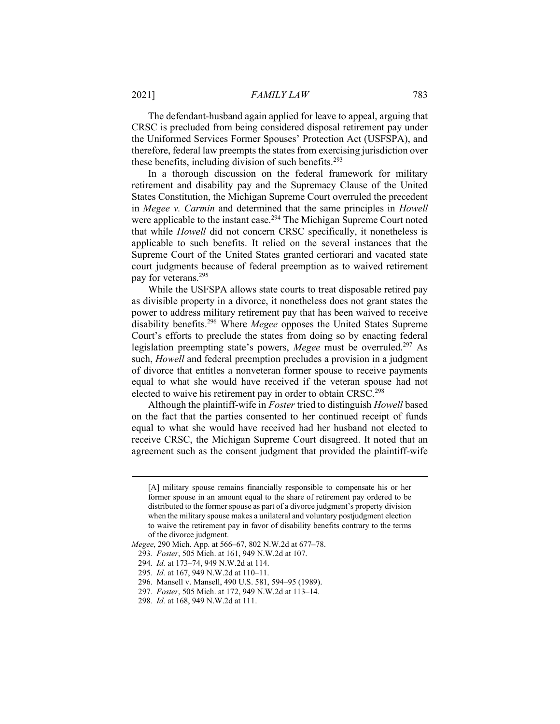The defendant-husband again applied for leave to appeal, arguing that CRSC is precluded from being considered disposal retirement pay under the Uniformed Services Former Spouses' Protection Act (USFSPA), and therefore, federal law preempts the states from exercising jurisdiction over these benefits, including division of such benefits.<sup>293</sup>

In a thorough discussion on the federal framework for military retirement and disability pay and the Supremacy Clause of the United States Constitution, the Michigan Supreme Court overruled the precedent in Megee v. Carmin and determined that the same principles in Howell were applicable to the instant case.<sup>294</sup> The Michigan Supreme Court noted that while Howell did not concern CRSC specifically, it nonetheless is applicable to such benefits. It relied on the several instances that the Supreme Court of the United States granted certiorari and vacated state court judgments because of federal preemption as to waived retirement pay for veterans.<sup>295</sup>

While the USFSPA allows state courts to treat disposable retired pay as divisible property in a divorce, it nonetheless does not grant states the power to address military retirement pay that has been waived to receive disability benefits.<sup>296</sup> Where *Megee* opposes the United States Supreme Court's efforts to preclude the states from doing so by enacting federal legislation preempting state's powers, Megee must be overruled.<sup>297</sup> As such, Howell and federal preemption precludes a provision in a judgment of divorce that entitles a nonveteran former spouse to receive payments equal to what she would have received if the veteran spouse had not elected to waive his retirement pay in order to obtain CRSC.<sup>298</sup>

Although the plaintiff-wife in Foster tried to distinguish Howell based on the fact that the parties consented to her continued receipt of funds equal to what she would have received had her husband not elected to receive CRSC, the Michigan Supreme Court disagreed. It noted that an agreement such as the consent judgment that provided the plaintiff-wife

<sup>[</sup>A] military spouse remains financially responsible to compensate his or her former spouse in an amount equal to the share of retirement pay ordered to be distributed to the former spouse as part of a divorce judgment's property division when the military spouse makes a unilateral and voluntary postjudgment election to waive the retirement pay in favor of disability benefits contrary to the terms of the divorce judgment.

Megee, 290 Mich. App. at 566–67, 802 N.W.2d at 677–78.

<sup>293</sup>. Foster, 505 Mich. at 161, 949 N.W.2d at 107.

<sup>294</sup>. Id. at 173–74, 949 N.W.2d at 114.

<sup>295</sup>. Id. at 167, 949 N.W.2d at 110–11.

 <sup>296.</sup> Mansell v. Mansell, 490 U.S. 581, 594–95 (1989).

<sup>297</sup>. Foster, 505 Mich. at 172, 949 N.W.2d at 113–14.

<sup>298</sup>. Id. at 168, 949 N.W.2d at 111.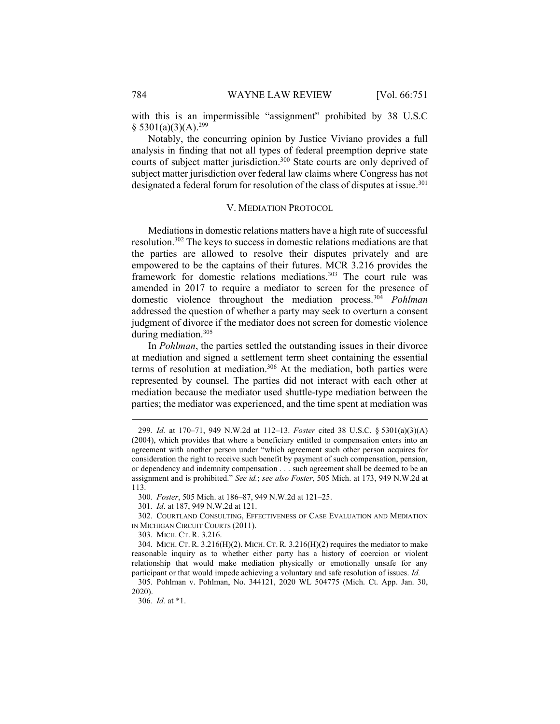with this is an impermissible "assignment" prohibited by 38 U.S.C  $$5301(a)(3)(A).^{299}$ 

Notably, the concurring opinion by Justice Viviano provides a full analysis in finding that not all types of federal preemption deprive state courts of subject matter jurisdiction.<sup>300</sup> State courts are only deprived of subject matter jurisdiction over federal law claims where Congress has not designated a federal forum for resolution of the class of disputes at issue.<sup>301</sup>

#### V. MEDIATION PROTOCOL

Mediations in domestic relations matters have a high rate of successful resolution.<sup>302</sup> The keys to success in domestic relations mediations are that the parties are allowed to resolve their disputes privately and are empowered to be the captains of their futures. MCR 3.216 provides the framework for domestic relations mediations.<sup>303</sup> The court rule was amended in 2017 to require a mediator to screen for the presence of domestic violence throughout the mediation process.<sup>304</sup> Pohlman addressed the question of whether a party may seek to overturn a consent judgment of divorce if the mediator does not screen for domestic violence during mediation.<sup>305</sup>

In Pohlman, the parties settled the outstanding issues in their divorce at mediation and signed a settlement term sheet containing the essential terms of resolution at mediation.<sup>306</sup> At the mediation, both parties were represented by counsel. The parties did not interact with each other at mediation because the mediator used shuttle-type mediation between the parties; the mediator was experienced, and the time spent at mediation was

300. Foster, 505 Mich. at 186–87, 949 N.W.2d at 121–25.

<sup>299</sup>. Id. at 170–71, 949 N.W.2d at 112–13. Foster cited 38 U.S.C. § 5301(a)(3)(A) (2004), which provides that where a beneficiary entitled to compensation enters into an agreement with another person under "which agreement such other person acquires for consideration the right to receive such benefit by payment of such compensation, pension, or dependency and indemnity compensation . . . such agreement shall be deemed to be an assignment and is prohibited." See id.; see also Foster, 505 Mich. at 173, 949 N.W.2d at 113.

<sup>301</sup>. Id. at 187, 949 N.W.2d at 121.

 <sup>302.</sup> COURTLAND CONSULTING, EFFECTIVENESS OF CASE EVALUATION AND MEDIATION IN MICHIGAN CIRCUIT COURTS (2011).

 <sup>303.</sup> MICH. CT. R. 3.216.

<sup>304.</sup> MICH. CT. R.  $3.216(H)(2)$ . MICH. CT. R.  $3.216(H)(2)$  requires the mediator to make reasonable inquiry as to whether either party has a history of coercion or violent relationship that would make mediation physically or emotionally unsafe for any participant or that would impede achieving a voluntary and safe resolution of issues. Id.

 <sup>305.</sup> Pohlman v. Pohlman, No. 344121, 2020 WL 504775 (Mich. Ct. App. Jan. 30, 2020).

<sup>306</sup>. Id. at \*1.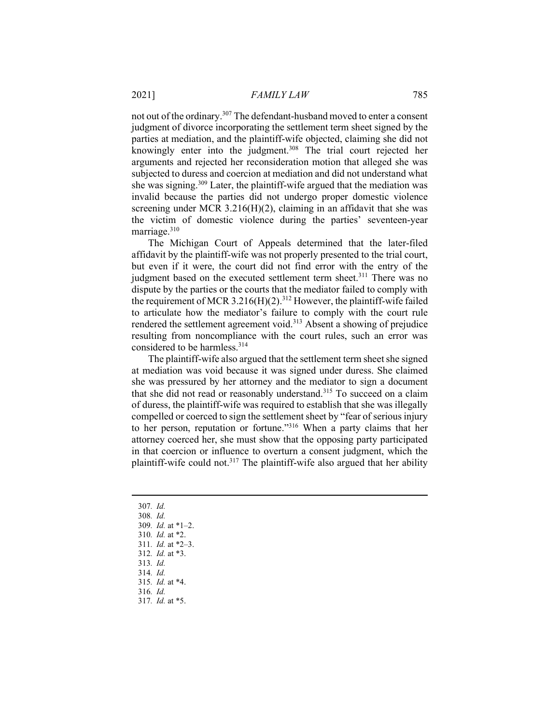not out of the ordinary.<sup>307</sup> The defendant-husband moved to enter a consent judgment of divorce incorporating the settlement term sheet signed by the parties at mediation, and the plaintiff-wife objected, claiming she did not knowingly enter into the judgment.<sup>308</sup> The trial court rejected her arguments and rejected her reconsideration motion that alleged she was subjected to duress and coercion at mediation and did not understand what she was signing.<sup>309</sup> Later, the plaintiff-wife argued that the mediation was invalid because the parties did not undergo proper domestic violence screening under MCR  $3.216(H)(2)$ , claiming in an affidavit that she was the victim of domestic violence during the parties' seventeen-year marriage.<sup>310</sup>

The Michigan Court of Appeals determined that the later-filed affidavit by the plaintiff-wife was not properly presented to the trial court, but even if it were, the court did not find error with the entry of the judgment based on the executed settlement term sheet.<sup>311</sup> There was no dispute by the parties or the courts that the mediator failed to comply with the requirement of MCR 3.216(H)(2).<sup>312</sup> However, the plaintiff-wife failed to articulate how the mediator's failure to comply with the court rule rendered the settlement agreement void.<sup>313</sup> Absent a showing of prejudice resulting from noncompliance with the court rules, such an error was considered to be harmless.<sup>314</sup>

The plaintiff-wife also argued that the settlement term sheet she signed at mediation was void because it was signed under duress. She claimed she was pressured by her attorney and the mediator to sign a document that she did not read or reasonably understand.<sup>315</sup> To succeed on a claim of duress, the plaintiff-wife was required to establish that she was illegally compelled or coerced to sign the settlement sheet by "fear of serious injury to her person, reputation or fortune."<sup>316</sup> When a party claims that her attorney coerced her, she must show that the opposing party participated in that coercion or influence to overturn a consent judgment, which the plaintiff-wife could not.<sup>317</sup> The plaintiff-wife also argued that her ability

307. Id. 308. Id. 309. Id. at \*1–2. 310. Id. at \*2. 311. Id. at \*2–3. 312. Id. at \*3. 313. Id. 314. Id. 315. Id. at \*4. 316. Id. 317. Id. at \*5.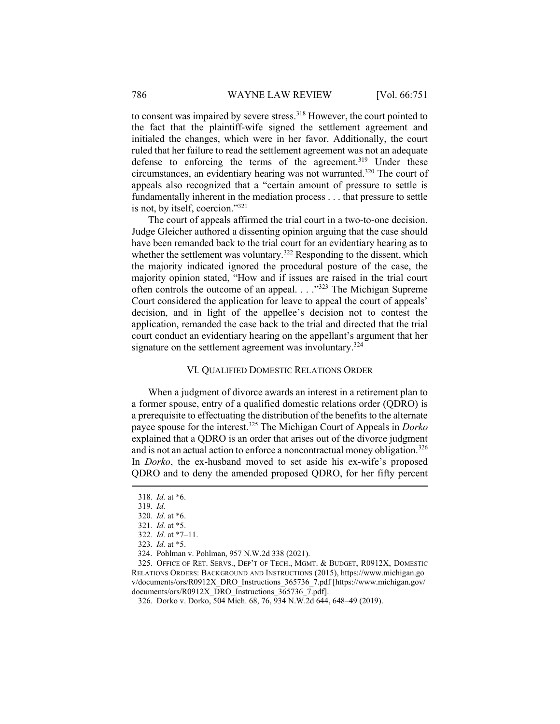to consent was impaired by severe stress.<sup>318</sup> However, the court pointed to the fact that the plaintiff-wife signed the settlement agreement and initialed the changes, which were in her favor. Additionally, the court ruled that her failure to read the settlement agreement was not an adequate defense to enforcing the terms of the agreement.<sup>319</sup> Under these circumstances, an evidentiary hearing was not warranted.<sup>320</sup> The court of appeals also recognized that a "certain amount of pressure to settle is fundamentally inherent in the mediation process . . . that pressure to settle is not, by itself, coercion."<sup>321</sup>

The court of appeals affirmed the trial court in a two-to-one decision. Judge Gleicher authored a dissenting opinion arguing that the case should have been remanded back to the trial court for an evidentiary hearing as to whether the settlement was voluntary.<sup>322</sup> Responding to the dissent, which the majority indicated ignored the procedural posture of the case, the majority opinion stated, "How and if issues are raised in the trial court often controls the outcome of an appeal. . . ."<sup>323</sup> The Michigan Supreme Court considered the application for leave to appeal the court of appeals' decision, and in light of the appellee's decision not to contest the application, remanded the case back to the trial and directed that the trial court conduct an evidentiary hearing on the appellant's argument that her signature on the settlement agreement was involuntary.<sup>324</sup>

## VI. QUALIFIED DOMESTIC RELATIONS ORDER

When a judgment of divorce awards an interest in a retirement plan to a former spouse, entry of a qualified domestic relations order (QDRO) is a prerequisite to effectuating the distribution of the benefits to the alternate payee spouse for the interest.<sup>325</sup> The Michigan Court of Appeals in *Dorko* explained that a QDRO is an order that arises out of the divorce judgment and is not an actual action to enforce a noncontractual money obligation.<sup>326</sup> In Dorko, the ex-husband moved to set aside his ex-wife's proposed QDRO and to deny the amended proposed QDRO, for her fifty percent

<sup>318</sup>. Id. at \*6.

<sup>319</sup>. Id.

<sup>320</sup>. Id. at \*6.

<sup>321</sup>. Id. at \*5.

<sup>322</sup>. Id. at \*7–11.

<sup>323</sup>. Id. at \*5.

 <sup>324.</sup> Pohlman v. Pohlman, 957 N.W.2d 338 (2021).

 <sup>325.</sup> OFFICE OF RET. SERVS., DEP'T OF TECH., MGMT. & BUDGET, R0912X, DOMESTIC RELATIONS ORDERS: BACKGROUND AND INSTRUCTIONS (2015), https://www.michigan.go v/documents/ors/R0912X\_DRO\_Instructions\_365736\_7.pdf [https://www.michigan.gov/ documents/ors/R0912X\_DRO\_Instructions\_365736\_7.pdf].

 <sup>326.</sup> Dorko v. Dorko, 504 Mich. 68, 76, 934 N.W.2d 644, 648–49 (2019).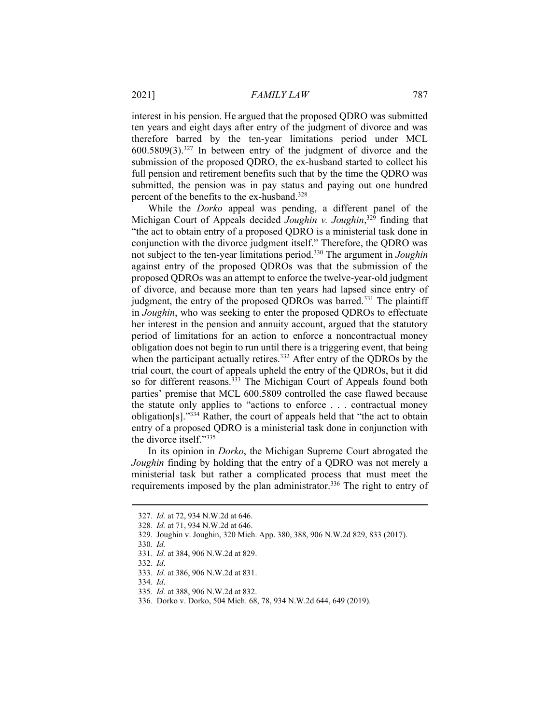interest in his pension. He argued that the proposed QDRO was submitted ten years and eight days after entry of the judgment of divorce and was therefore barred by the ten-year limitations period under MCL 600.5809(3).<sup>327</sup> In between entry of the judgment of divorce and the submission of the proposed QDRO, the ex-husband started to collect his full pension and retirement benefits such that by the time the QDRO was submitted, the pension was in pay status and paying out one hundred percent of the benefits to the ex-husband.<sup>328</sup>

While the Dorko appeal was pending, a different panel of the Michigan Court of Appeals decided Joughin v. Joughin,<sup>329</sup> finding that "the act to obtain entry of a proposed QDRO is a ministerial task done in conjunction with the divorce judgment itself." Therefore, the QDRO was not subject to the ten-year limitations period.<sup>330</sup> The argument in *Joughin* against entry of the proposed QDROs was that the submission of the proposed QDROs was an attempt to enforce the twelve-year-old judgment of divorce, and because more than ten years had lapsed since entry of judgment, the entry of the proposed QDROs was barred.<sup>331</sup> The plaintiff in Joughin, who was seeking to enter the proposed QDROs to effectuate her interest in the pension and annuity account, argued that the statutory period of limitations for an action to enforce a noncontractual money obligation does not begin to run until there is a triggering event, that being when the participant actually retires.<sup>332</sup> After entry of the QDROs by the trial court, the court of appeals upheld the entry of the QDROs, but it did so for different reasons.<sup>333</sup> The Michigan Court of Appeals found both parties' premise that MCL 600.5809 controlled the case flawed because the statute only applies to "actions to enforce . . . contractual money obligation[s]."<sup>334</sup> Rather, the court of appeals held that "the act to obtain entry of a proposed QDRO is a ministerial task done in conjunction with the divorce itself."<sup>335</sup>

In its opinion in Dorko, the Michigan Supreme Court abrogated the Joughin finding by holding that the entry of a QDRO was not merely a ministerial task but rather a complicated process that must meet the requirements imposed by the plan administrator.<sup>336</sup> The right to entry of

<sup>327</sup>. Id. at 72, 934 N.W.2d at 646.

<sup>328</sup>. Id. at 71, 934 N.W.2d at 646.

 <sup>329.</sup> Joughin v. Joughin, 320 Mich. App. 380, 388, 906 N.W.2d 829, 833 (2017).

<sup>330</sup>. Id.

<sup>331</sup>. Id. at 384, 906 N.W.2d at 829.

<sup>332</sup>. Id.

<sup>333</sup>. Id. at 386, 906 N.W.2d at 831.

<sup>334</sup>. Id.

<sup>335</sup>. Id. at 388, 906 N.W.2d at 832.

<sup>336</sup>. Dorko v. Dorko, 504 Mich. 68, 78, 934 N.W.2d 644, 649 (2019).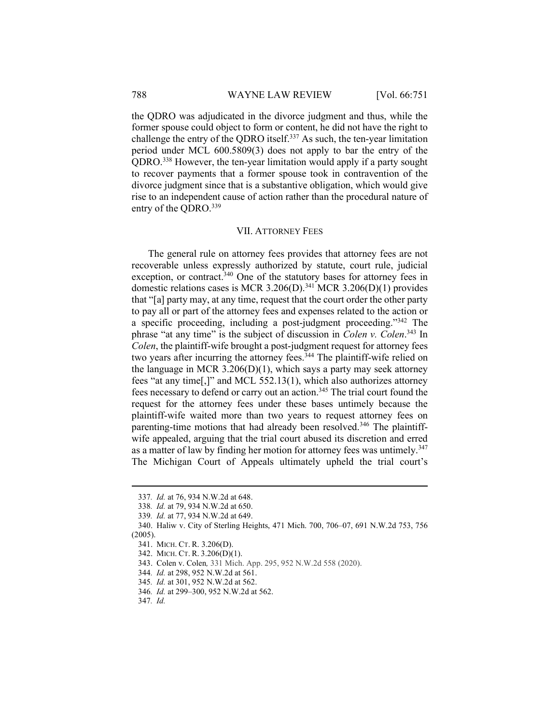the QDRO was adjudicated in the divorce judgment and thus, while the former spouse could object to form or content, he did not have the right to challenge the entry of the QDRO itself.<sup>337</sup> As such, the ten-year limitation period under MCL 600.5809(3) does not apply to bar the entry of the QDRO.<sup>338</sup> However, the ten-year limitation would apply if a party sought to recover payments that a former spouse took in contravention of the divorce judgment since that is a substantive obligation, which would give rise to an independent cause of action rather than the procedural nature of entry of the QDRO.<sup>339</sup>

### VII. ATTORNEY FEES

The general rule on attorney fees provides that attorney fees are not recoverable unless expressly authorized by statute, court rule, judicial exception, or contract.<sup>340</sup> One of the statutory bases for attorney fees in domestic relations cases is MCR 3.206(D).<sup>341</sup> MCR 3.206(D)(1) provides that "[a] party may, at any time, request that the court order the other party to pay all or part of the attorney fees and expenses related to the action or a specific proceeding, including a post-judgment proceeding."<sup>342</sup> The phrase "at any time" is the subject of discussion in *Colen v. Colen*.<sup>343</sup> In Colen, the plaintiff-wife brought a post-judgment request for attorney fees two years after incurring the attorney fees.<sup>344</sup> The plaintiff-wife relied on the language in MCR  $3.206(D)(1)$ , which says a party may seek attorney fees "at any time[,]" and MCL 552.13(1), which also authorizes attorney fees necessary to defend or carry out an action.<sup>345</sup> The trial court found the request for the attorney fees under these bases untimely because the plaintiff-wife waited more than two years to request attorney fees on parenting-time motions that had already been resolved.<sup>346</sup> The plaintiffwife appealed, arguing that the trial court abused its discretion and erred as a matter of law by finding her motion for attorney fees was untimely.<sup>347</sup> The Michigan Court of Appeals ultimately upheld the trial court's

<sup>337</sup>. Id. at 76, 934 N.W.2d at 648.

<sup>338</sup>. Id. at 79, 934 N.W.2d at 650.

<sup>339</sup>. Id. at 77, 934 N.W.2d at 649.

 <sup>340.</sup> Haliw v. City of Sterling Heights, 471 Mich. 700, 706–07, 691 N.W.2d 753, 756 (2005).

 <sup>341.</sup> MICH. CT. R. 3.206(D).

 <sup>342.</sup> MICH. CT. R. 3.206(D)(1).

 <sup>343.</sup> Colen v. Colen, 331 Mich. App. 295, 952 N.W.2d 558 (2020).

<sup>344</sup>. Id. at 298, 952 N.W.2d at 561.

<sup>345</sup>. Id. at 301, 952 N.W.2d at 562.

<sup>346</sup>. Id. at 299–300, 952 N.W.2d at 562.

<sup>347</sup>. Id.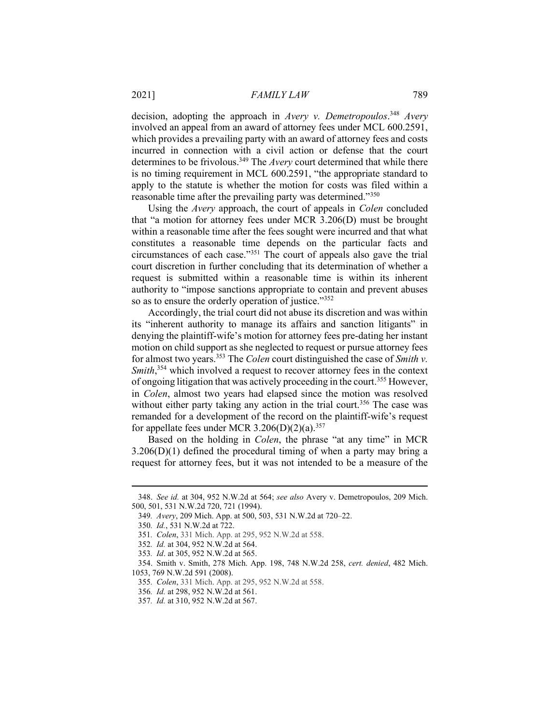decision, adopting the approach in Avery v. Demetropoulos.<sup>348</sup> Avery involved an appeal from an award of attorney fees under MCL 600.2591, which provides a prevailing party with an award of attorney fees and costs incurred in connection with a civil action or defense that the court determines to be frivolous.<sup>349</sup> The Avery court determined that while there is no timing requirement in MCL 600.2591, "the appropriate standard to apply to the statute is whether the motion for costs was filed within a reasonable time after the prevailing party was determined."<sup>350</sup>

Using the Avery approach, the court of appeals in Colen concluded that "a motion for attorney fees under MCR 3.206(D) must be brought within a reasonable time after the fees sought were incurred and that what constitutes a reasonable time depends on the particular facts and circumstances of each case."<sup>351</sup> The court of appeals also gave the trial court discretion in further concluding that its determination of whether a request is submitted within a reasonable time is within its inherent authority to "impose sanctions appropriate to contain and prevent abuses so as to ensure the orderly operation of justice."352

Accordingly, the trial court did not abuse its discretion and was within its "inherent authority to manage its affairs and sanction litigants" in denying the plaintiff-wife's motion for attorney fees pre-dating her instant motion on child support as she neglected to request or pursue attorney fees for almost two years.<sup>353</sup> The *Colen* court distinguished the case of *Smith v*. Smith,<sup>354</sup> which involved a request to recover attorney fees in the context of ongoing litigation that was actively proceeding in the court.<sup>355</sup> However, in Colen, almost two years had elapsed since the motion was resolved without either party taking any action in the trial court.<sup>356</sup> The case was remanded for a development of the record on the plaintiff-wife's request for appellate fees under MCR 3.206(D)(2)(a).<sup>357</sup>

Based on the holding in *Colen*, the phrase "at any time" in MCR  $3.206(D)(1)$  defined the procedural timing of when a party may bring a request for attorney fees, but it was not intended to be a measure of the

 <sup>348.</sup> See id. at 304, 952 N.W.2d at 564; see also Avery v. Demetropoulos, 209 Mich. 500, 501, 531 N.W.2d 720, 721 (1994).

<sup>349</sup>. Avery, 209 Mich. App. at 500, 503, 531 N.W.2d at 720–22.

<sup>350</sup>. Id., 531 N.W.2d at 722.

<sup>351</sup>. Colen, 331 Mich. App. at 295, 952 N.W.2d at 558.

<sup>352</sup>. Id. at 304, 952 N.W.2d at 564.

<sup>353</sup>. Id. at 305, 952 N.W.2d at 565.

 <sup>354.</sup> Smith v. Smith, 278 Mich. App. 198, 748 N.W.2d 258, cert. denied, 482 Mich. 1053, 769 N.W.2d 591 (2008).

<sup>355</sup>. Colen, 331 Mich. App. at 295, 952 N.W.2d at 558.

<sup>356</sup>. Id. at 298, 952 N.W.2d at 561.

<sup>357</sup>. Id. at 310, 952 N.W.2d at 567.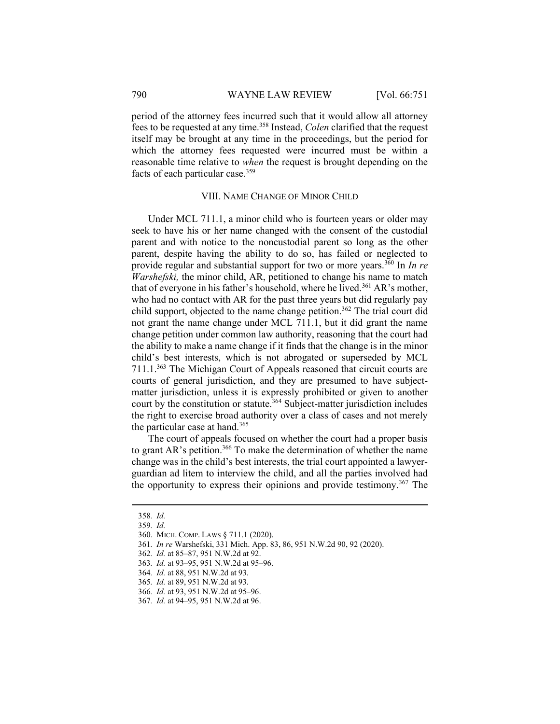period of the attorney fees incurred such that it would allow all attorney fees to be requested at any time.<sup>358</sup> Instead, *Colen* clarified that the request itself may be brought at any time in the proceedings, but the period for which the attorney fees requested were incurred must be within a reasonable time relative to when the request is brought depending on the facts of each particular case.<sup>359</sup>

#### VIII. NAME CHANGE OF MINOR CHILD

Under MCL 711.1, a minor child who is fourteen years or older may seek to have his or her name changed with the consent of the custodial parent and with notice to the noncustodial parent so long as the other parent, despite having the ability to do so, has failed or neglected to provide regular and substantial support for two or more years.<sup>360</sup> In *In re* Warshefski, the minor child, AR, petitioned to change his name to match that of everyone in his father's household, where he lived.<sup>361</sup> AR's mother, who had no contact with AR for the past three years but did regularly pay child support, objected to the name change petition.<sup>362</sup> The trial court did not grant the name change under MCL 711.1, but it did grant the name change petition under common law authority, reasoning that the court had the ability to make a name change if it finds that the change is in the minor child's best interests, which is not abrogated or superseded by MCL 711.1.<sup>363</sup> The Michigan Court of Appeals reasoned that circuit courts are courts of general jurisdiction, and they are presumed to have subjectmatter jurisdiction, unless it is expressly prohibited or given to another court by the constitution or statute.<sup>364</sup> Subject-matter jurisdiction includes the right to exercise broad authority over a class of cases and not merely the particular case at hand.<sup>365</sup>

The court of appeals focused on whether the court had a proper basis to grant AR's petition.<sup>366</sup> To make the determination of whether the name change was in the child's best interests, the trial court appointed a lawyerguardian ad litem to interview the child, and all the parties involved had the opportunity to express their opinions and provide testimony.<sup>367</sup> The

<sup>358</sup>. Id.

<sup>359</sup>. Id.

 <sup>360.</sup> MICH. COMP. LAWS § 711.1 (2020).

<sup>361</sup>. In re Warshefski, 331 Mich. App. 83, 86, 951 N.W.2d 90, 92 (2020).

<sup>362</sup>. Id. at 85–87, 951 N.W.2d at 92.

<sup>363</sup>. Id. at 93–95, 951 N.W.2d at 95–96.

<sup>364</sup>. Id. at 88, 951 N.W.2d at 93.

<sup>365</sup>. Id. at 89, 951 N.W.2d at 93.

<sup>366</sup>. Id. at 93, 951 N.W.2d at 95–96.

<sup>367</sup>. Id. at 94–95, 951 N.W.2d at 96.